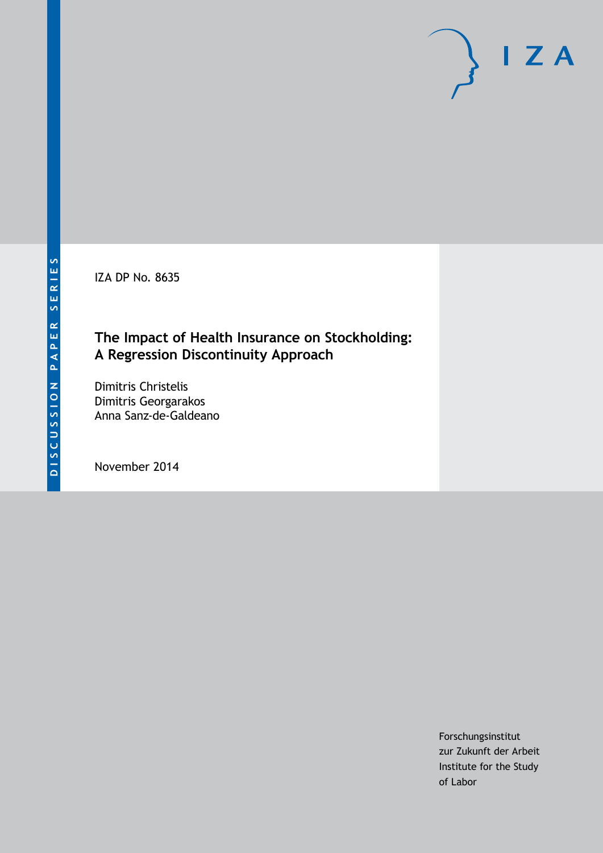IZA DP No. 8635

# **The Impact of Health Insurance on Stockholding: A Regression Discontinuity Approach**

Dimitris Christelis Dimitris Georgarakos Anna Sanz-de-Galdeano

November 2014

Forschungsinstitut zur Zukunft der Arbeit Institute for the Study of Labor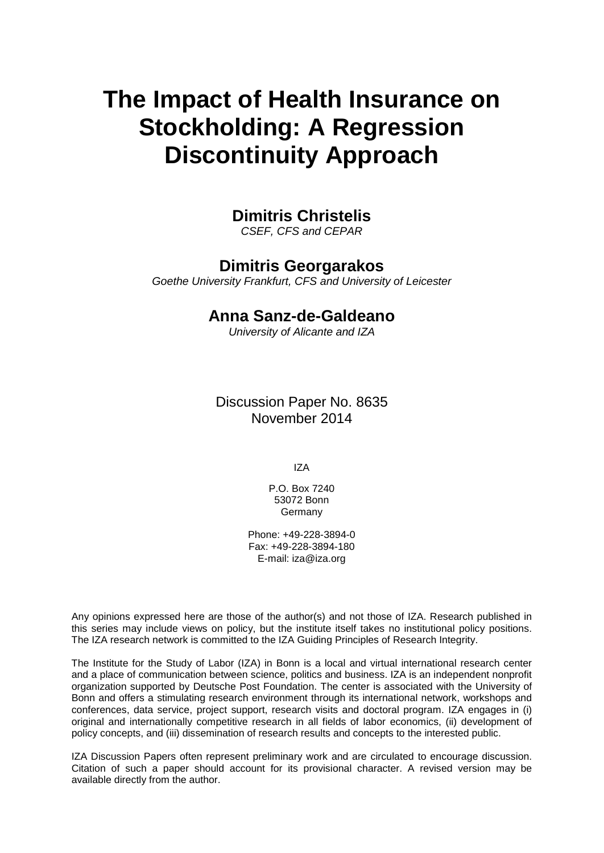# **The Impact of Health Insurance on Stockholding: A Regression Discontinuity Approach**

# **Dimitris Christelis**

*CSEF, CFS and CEPAR*

# **Dimitris Georgarakos**

*Goethe University Frankfurt, CFS and University of Leicester*

# **Anna Sanz-de-Galdeano**

*University of Alicante and IZA*

Discussion Paper No. 8635 November 2014

IZA

P.O. Box 7240 53072 Bonn Germany

Phone: +49-228-3894-0 Fax: +49-228-3894-180 E-mail: [iza@iza.org](mailto:iza@iza.org)

Any opinions expressed here are those of the author(s) and not those of IZA. Research published in this series may include views on policy, but the institute itself takes no institutional policy positions. The IZA research network is committed to the IZA Guiding Principles of Research Integrity.

The Institute for the Study of Labor (IZA) in Bonn is a local and virtual international research center and a place of communication between science, politics and business. IZA is an independent nonprofit organization supported by Deutsche Post Foundation. The center is associated with the University of Bonn and offers a stimulating research environment through its international network, workshops and conferences, data service, project support, research visits and doctoral program. IZA engages in (i) original and internationally competitive research in all fields of labor economics, (ii) development of policy concepts, and (iii) dissemination of research results and concepts to the interested public.

<span id="page-1-0"></span>IZA Discussion Papers often represent preliminary work and are circulated to encourage discussion. Citation of such a paper should account for its provisional character. A revised version may be available directly from the author.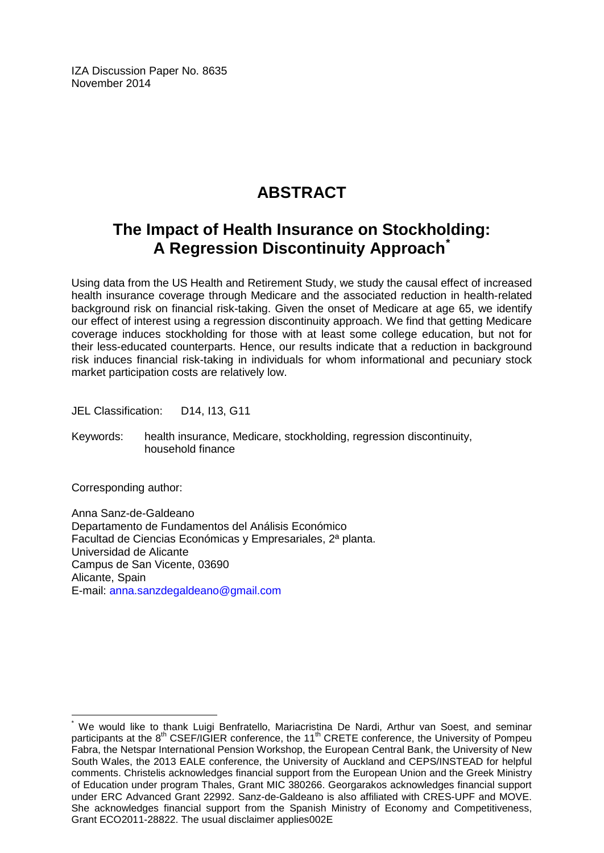IZA Discussion Paper No. 8635 November 2014

# **ABSTRACT**

# **The Impact of Health Insurance on Stockholding: A Regression Discontinuity Approach[\\*](#page-1-0)**

Using data from the US Health and Retirement Study, we study the causal effect of increased health insurance coverage through Medicare and the associated reduction in health-related background risk on financial risk-taking. Given the onset of Medicare at age 65, we identify our effect of interest using a regression discontinuity approach. We find that getting Medicare coverage induces stockholding for those with at least some college education, but not for their less-educated counterparts. Hence, our results indicate that a reduction in background risk induces financial risk-taking in individuals for whom informational and pecuniary stock market participation costs are relatively low.

JEL Classification: D14, I13, G11

Keywords: health insurance, Medicare, stockholding, regression discontinuity, household finance

Corresponding author:

Anna Sanz-de-Galdeano Departamento de Fundamentos del Análisis Económico Facultad de Ciencias Económicas y Empresariales, 2ª planta. Universidad de Alicante Campus de San Vicente, 03690 Alicante, Spain E-mail: [anna.sanzdegaldeano@gmail.com](mailto:anna.sanzdegaldeano@gmail.com)

We would like to thank Luigi Benfratello, Mariacristina De Nardi, Arthur van Soest, and seminar participants at the 8<sup>th</sup> CSEF/IGIER conference, the 11<sup>th</sup> CRETE conference, the University of Pompeu Fabra, the Netspar International Pension Workshop, the European Central Bank, the University of New South Wales, the 2013 EALE conference, the University of Auckland and CEPS/INSTEAD for helpful comments. Christelis acknowledges financial support from the European Union and the Greek Ministry of Education under program Thales, Grant MIC 380266. Georgarakos acknowledges financial support under ERC Advanced Grant 22992. Sanz-de-Galdeano is also affiliated with CRES-UPF and MOVE. She acknowledges financial support from the Spanish Ministry of Economy and Competitiveness, Grant ECO2011-28822. The usual disclaimer applies002E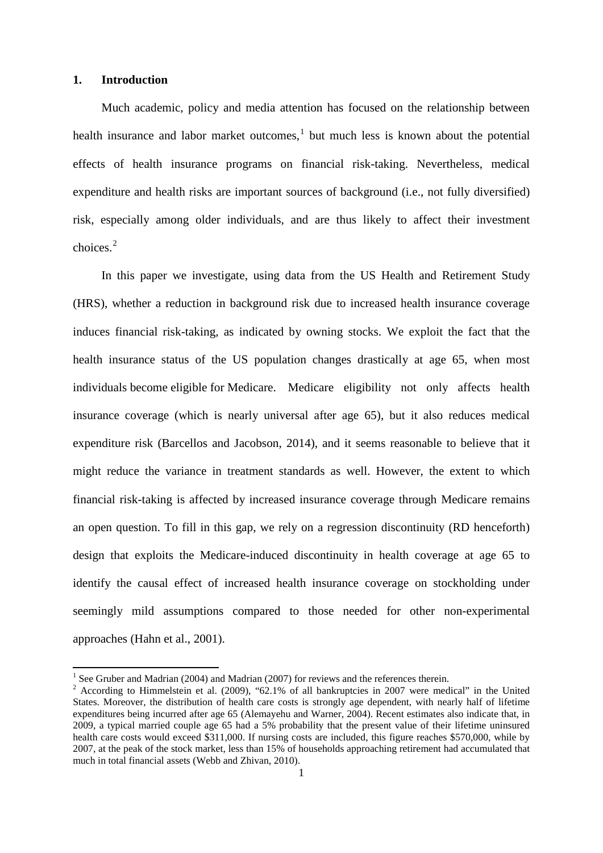#### **1. Introduction**

Much academic, policy and media attention has focused on the relationship between health insurance and labor market outcomes,<sup>1</sup> but much less is known about the potential effects of health insurance programs on financial risk-taking. Nevertheless, medical expenditure and health risks are important sources of background (i.e., not fully diversified) risk, especially among older individuals, and are thus likely to affect their investment choices. [2](#page-3-0)

In this paper we investigate, using data from the US Health and Retirement Study (HRS), whether a reduction in background risk due to increased health insurance coverage induces financial risk-taking, as indicated by owning stocks. We exploit the fact that the health insurance status of the US population changes drastically at age 65, when most individuals become eligible for Medicare. Medicare eligibility not only affects health insurance coverage (which is nearly universal after age 65), but it also reduces medical expenditure risk (Barcellos and Jacobson, 2014), and it seems reasonable to believe that it might reduce the variance in treatment standards as well. However, the extent to which financial risk-taking is affected by increased insurance coverage through Medicare remains an open question. To fill in this gap, we rely on a regression discontinuity (RD henceforth) design that exploits the Medicare-induced discontinuity in health coverage at age 65 to identify the causal effect of increased health insurance coverage on stockholding under seemingly mild assumptions compared to those needed for other non-experimental approaches (Hahn et al., 2001).

<span id="page-3-1"></span><span id="page-3-0"></span><sup>&</sup>lt;sup>1</sup> See Gruber and Madrian (2004) and Madrian (2007) for reviews and the references therein.<br><sup>2</sup> According to Himmelstein et al. (2009), "62.1% of all bankruptcies in 2007 were medical" in the United States. Moreover, the distribution of health care costs is strongly age dependent, with nearly half of lifetime expenditures being incurred after age 65 (Alemayehu and Warner, 2004). Recent estimates also indicate that, in 2009, a typical married couple age 65 had a 5% probability that the present value of their lifetime uninsured health care costs would exceed \$311,000. If nursing costs are included, this figure reaches \$570,000, while by 2007, at the peak of the stock market, less than 15% of households approaching retirement had accumulated that much in total financial assets (Webb and Zhivan, 2010).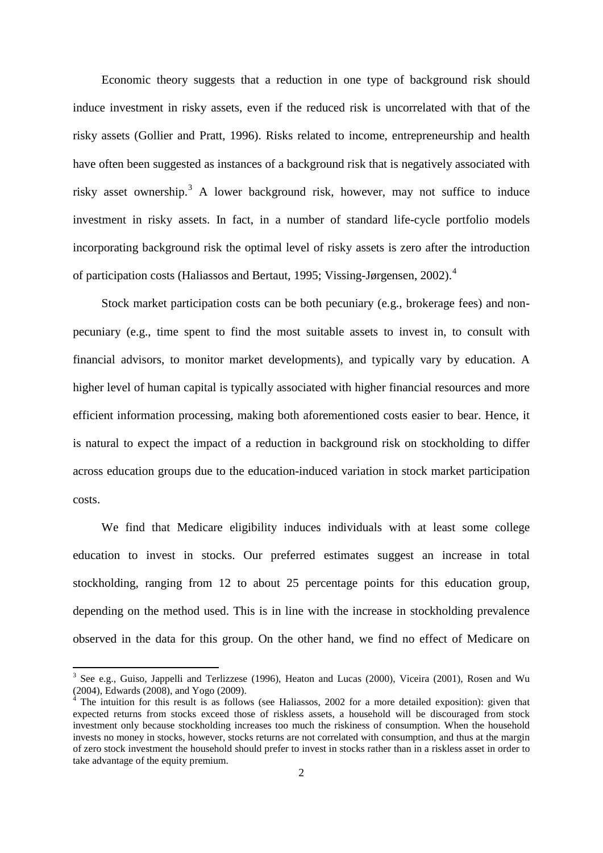Economic theory suggests that a reduction in one type of background risk should induce investment in risky assets, even if the reduced risk is uncorrelated with that of the risky assets (Gollier and Pratt, 1996). Risks related to income, entrepreneurship and health have often been suggested as instances of a background risk that is negatively associated with risky asset ownership. [3](#page-3-1) A lower background risk, however, may not suffice to induce investment in risky assets. In fact, in a number of standard life-cycle portfolio models incorporating background risk the optimal level of risky assets is zero after the introduction of participation costs (Haliassos and Bertaut, 1995; Vissing-Jørgensen, 2002). [4](#page-4-0)

Stock market participation costs can be both pecuniary (e.g., brokerage fees) and nonpecuniary (e.g., time spent to find the most suitable assets to invest in, to consult with financial advisors, to monitor market developments), and typically vary by education. A higher level of human capital is typically associated with higher financial resources and more efficient information processing, making both aforementioned costs easier to bear. Hence, it is natural to expect the impact of a reduction in background risk on stockholding to differ across education groups due to the education-induced variation in stock market participation costs.

We find that Medicare eligibility induces individuals with at least some college education to invest in stocks. Our preferred estimates suggest an increase in total stockholding, ranging from 12 to about 25 percentage points for this education group, depending on the method used. This is in line with the increase in stockholding prevalence observed in the data for this group. On the other hand, we find no effect of Medicare on

<span id="page-4-1"></span><sup>3</sup> See e.g., Guiso, Jappelli and Terlizzese (1996), Heaton and Lucas (2000), Viceira (2001), Rosen and Wu (2004), Edwards (2008), and Yogo (2009).

<span id="page-4-0"></span><sup>&</sup>lt;sup>4</sup> The intuition for this result is as follows (see Haliassos, 2002 for a more detailed exposition): given that expected returns from stocks exceed those of riskless assets, a household will be discouraged from stock investment only because stockholding increases too much the riskiness of consumption. When the household invests no money in stocks, however, stocks returns are not correlated with consumption, and thus at the margin of zero stock investment the household should prefer to invest in stocks rather than in a riskless asset in order to take advantage of the equity premium.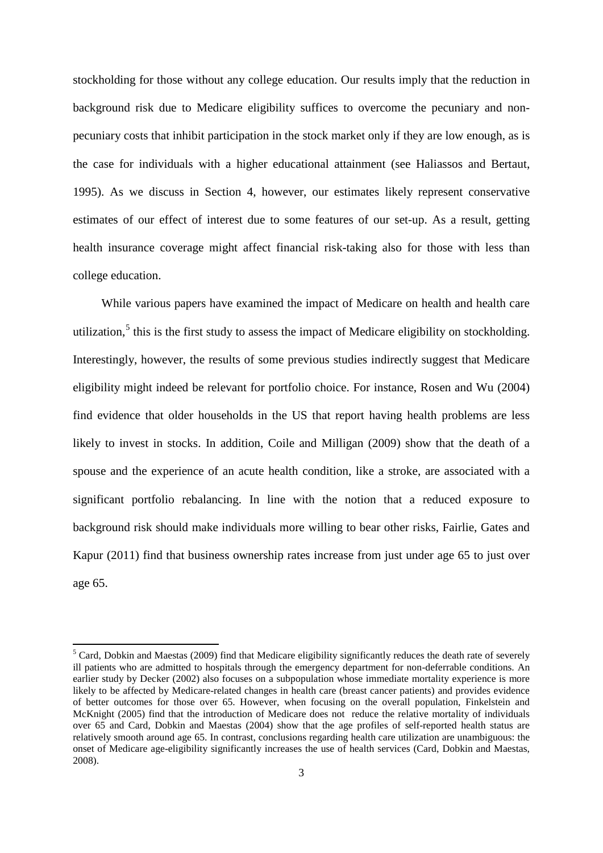stockholding for those without any college education. Our results imply that the reduction in background risk due to Medicare eligibility suffices to overcome the pecuniary and nonpecuniary costs that inhibit participation in the stock market only if they are low enough, as is the case for individuals with a higher educational attainment (see Haliassos and Bertaut, 1995). As we discuss in Section 4, however, our estimates likely represent conservative estimates of our effect of interest due to some features of our set-up. As a result, getting health insurance coverage might affect financial risk-taking also for those with less than college education.

While various papers have examined the impact of Medicare on health and health care utilization,<sup>[5](#page-4-1)</sup> this is the first study to assess the impact of Medicare eligibility on stockholding. Interestingly, however, the results of some previous studies indirectly suggest that Medicare eligibility might indeed be relevant for portfolio choice. For instance, Rosen and Wu (2004) find evidence that older households in the US that report having health problems are less likely to invest in stocks. In addition, Coile and Milligan (2009) show that the death of a spouse and the experience of an acute health condition, like a stroke, are associated with a significant portfolio rebalancing. In line with the notion that a reduced exposure to background risk should make individuals more willing to bear other risks, Fairlie, Gates and Kapur (2011) find that business ownership rates increase from just under age 65 to just over age 65.

<span id="page-5-0"></span><sup>&</sup>lt;sup>5</sup> Card, Dobkin and Maestas (2009) find that Medicare eligibility significantly reduces the death rate of severely ill patients who are admitted to hospitals through the emergency department for non-deferrable conditions. An earlier study by Decker (2002) also focuses on a subpopulation whose immediate mortality experience is more likely to be affected by Medicare-related changes in health care (breast cancer patients) and provides evidence of better outcomes for those over 65. However, when focusing on the overall population, Finkelstein and McKnight (2005) find that the introduction of Medicare does not reduce the relative mortality of individuals over 65 and Card, Dobkin and Maestas (2004) show that the age profiles of self-reported health status are relatively smooth around age 65. In contrast, conclusions regarding health care utilization are unambiguous: the onset of Medicare age-eligibility significantly increases the use of health services (Card, Dobkin and Maestas, 2008).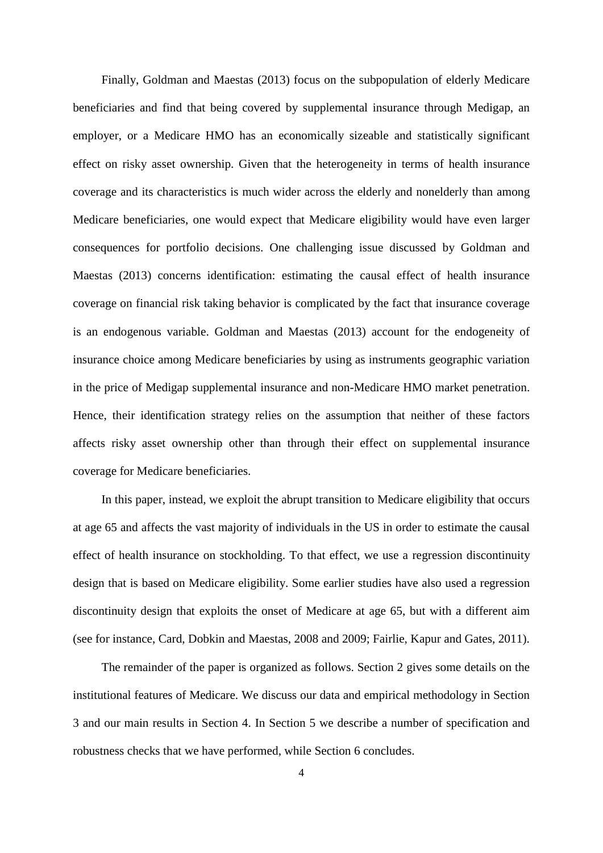Finally, Goldman and Maestas (2013) focus on the subpopulation of elderly Medicare beneficiaries and find that being covered by supplemental insurance through Medigap, an employer, or a Medicare HMO has an economically sizeable and statistically significant effect on risky asset ownership. Given that the heterogeneity in terms of health insurance coverage and its characteristics is much wider across the elderly and nonelderly than among Medicare beneficiaries, one would expect that Medicare eligibility would have even larger consequences for portfolio decisions. One challenging issue discussed by Goldman and Maestas (2013) concerns identification: estimating the causal effect of health insurance coverage on financial risk taking behavior is complicated by the fact that insurance coverage is an endogenous variable. Goldman and Maestas (2013) account for the endogeneity of insurance choice among Medicare beneficiaries by using as instruments geographic variation in the price of Medigap supplemental insurance and non-Medicare HMO market penetration. Hence, their identification strategy relies on the assumption that neither of these factors affects risky asset ownership other than through their effect on supplemental insurance coverage for Medicare beneficiaries.

In this paper, instead, we exploit the abrupt transition to Medicare eligibility that occurs at age 65 and affects the vast majority of individuals in the US in order to estimate the causal effect of health insurance on stockholding. To that effect, we use a regression discontinuity design that is based on Medicare eligibility. Some earlier studies have also used a regression discontinuity design that exploits the onset of Medicare at age 65, but with a different aim (see for instance, Card, Dobkin and Maestas, 2008 and 2009; Fairlie, Kapur and Gates, 2011).

The remainder of the paper is organized as follows. Section 2 gives some details on the institutional features of Medicare. We discuss our data and empirical methodology in Section 3 and our main results in Section 4. In Section 5 we describe a number of specification and robustness checks that we have performed, while Section 6 concludes.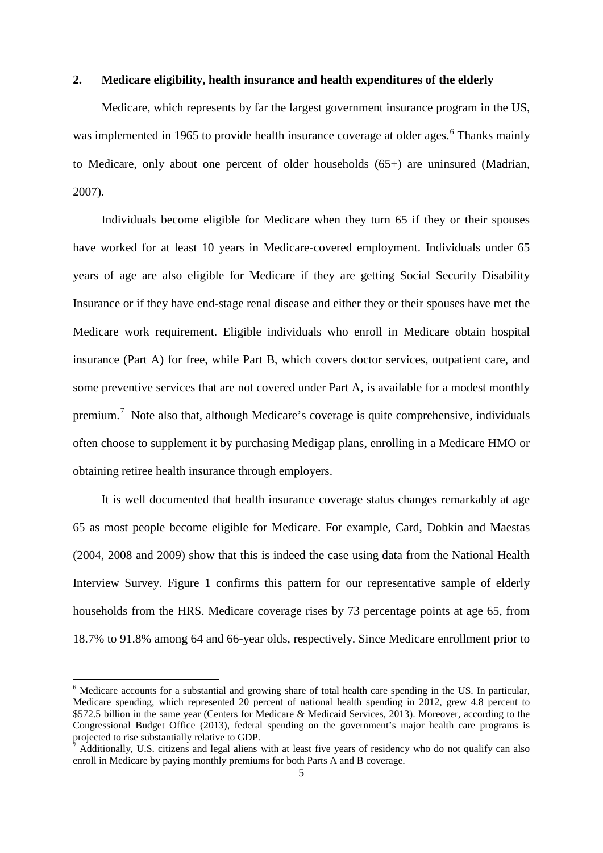#### **2. Medicare eligibility, health insurance and health expenditures of the elderly**

Medicare, which represents by far the largest government insurance program in the US, was implemented in 19[6](#page-5-0)5 to provide health insurance coverage at older ages.<sup>6</sup> Thanks mainly to Medicare, only about one percent of older households (65+) are uninsured (Madrian, 2007).

Individuals become eligible for Medicare when they turn 65 if they or their spouses have worked for at least 10 years in Medicare-covered employment. Individuals under 65 years of age are also eligible for Medicare if they are getting Social Security Disability Insurance or if they have end-stage renal disease and either they or their spouses have met the Medicare work requirement. Eligible individuals who enroll in Medicare obtain hospital insurance (Part A) for free, while Part B, which covers doctor services, outpatient care, and some preventive services that are not covered under Part A, is available for a modest monthly premium.<sup>[7](#page-7-0)</sup> Note also that, although Medicare's coverage is quite comprehensive, individuals often choose to supplement it by purchasing Medigap plans, enrolling in a Medicare HMO or obtaining retiree health insurance through employers.

It is well documented that health insurance coverage status changes remarkably at age 65 as most people become eligible for Medicare. For example, Card, Dobkin and Maestas (2004, 2008 and 2009) show that this is indeed the case using data from the National Health Interview Survey. Figure 1 confirms this pattern for our representative sample of elderly households from the HRS. Medicare coverage rises by 73 percentage points at age 65, from 18.7% to 91.8% among 64 and 66-year olds, respectively. Since Medicare enrollment prior to

<sup>&</sup>lt;sup>6</sup> Medicare accounts for a substantial and growing share of total health care spending in the US. In particular, Medicare spending, which represented 20 percent of national health spending in 2012, grew 4.8 percent to \$572.5 billion in the same year (Centers for Medicare & Medicaid Services, 2013). Moreover, according to the Congressional Budget Office (2013), federal spending on the government's major health care programs is projected to rise substantially relative to GDP.

<span id="page-7-1"></span><span id="page-7-0"></span>Additionally, U.S. citizens and legal aliens with at least five years of residency who do not qualify can also enroll in Medicare by paying monthly premiums for both Parts A and B coverage.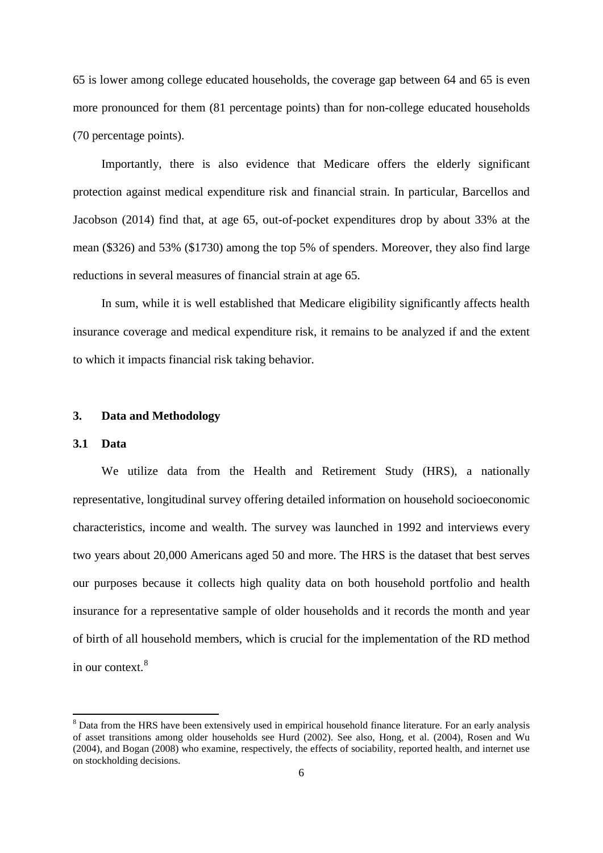65 is lower among college educated households, the coverage gap between 64 and 65 is even more pronounced for them (81 percentage points) than for non-college educated households (70 percentage points).

Importantly, there is also evidence that Medicare offers the elderly significant protection against medical expenditure risk and financial strain. In particular, Barcellos and Jacobson (2014) find that, at age 65, out-of-pocket expenditures drop by about 33% at the mean (\$326) and 53% (\$1730) among the top 5% of spenders. Moreover, they also find large reductions in several measures of financial strain at age 65.

In sum, while it is well established that Medicare eligibility significantly affects health insurance coverage and medical expenditure risk, it remains to be analyzed if and the extent to which it impacts financial risk taking behavior.

#### **3. Data and Methodology**

#### **3.1 Data**

We utilize data from the Health and Retirement Study (HRS), a nationally representative, longitudinal survey offering detailed information on household socioeconomic characteristics, income and wealth. The survey was launched in 1992 and interviews every two years about 20,000 Americans aged 50 and more. The HRS is the dataset that best serves our purposes because it collects high quality data on both household portfolio and health insurance for a representative sample of older households and it records the month and year of birth of all household members, which is crucial for the implementation of the RD method in our context. [8](#page-7-1)

<span id="page-8-0"></span><sup>&</sup>lt;sup>8</sup> Data from the HRS have been extensively used in empirical household finance literature. For an early analysis of asset transitions among older households see Hurd (2002). See also, Hong, et al. (2004), Rosen and Wu (2004), and Bogan (2008) who examine, respectively, the effects of sociability, reported health, and internet use on stockholding decisions.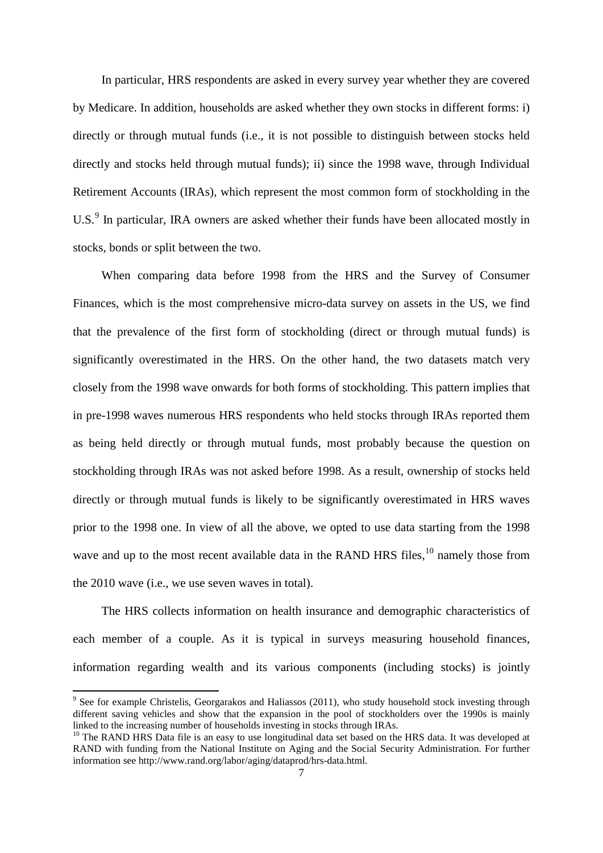In particular, HRS respondents are asked in every survey year whether they are covered by Medicare. In addition, households are asked whether they own stocks in different forms: i) directly or through mutual funds (i.e., it is not possible to distinguish between stocks held directly and stocks held through mutual funds); ii) since the 1998 wave, through Individual Retirement Accounts (IRAs), which represent the most common form of stockholding in the U.S.<sup>[9](#page-8-0)</sup> In particular, IRA owners are asked whether their funds have been allocated mostly in stocks, bonds or split between the two.

When comparing data before 1998 from the HRS and the Survey of Consumer Finances, which is the most comprehensive micro-data survey on assets in the US, we find that the prevalence of the first form of stockholding (direct or through mutual funds) is significantly overestimated in the HRS. On the other hand, the two datasets match very closely from the 1998 wave onwards for both forms of stockholding. This pattern implies that in pre-1998 waves numerous HRS respondents who held stocks through IRAs reported them as being held directly or through mutual funds, most probably because the question on stockholding through IRAs was not asked before 1998. As a result, ownership of stocks held directly or through mutual funds is likely to be significantly overestimated in HRS waves prior to the 1998 one. In view of all the above, we opted to use data starting from the 1998 wave and up to the most recent available data in the RAND HRS files,  $^{10}$  $^{10}$  $^{10}$  namely those from the 2010 wave (i.e., we use seven waves in total).

The HRS collects information on health insurance and demographic characteristics of each member of a couple. As it is typical in surveys measuring household finances, information regarding wealth and its various components (including stocks) is jointly

<sup>&</sup>lt;sup>9</sup> See for example Christelis, Georgarakos and Haliassos (2011), who study household stock investing through different saving vehicles and show that the expansion in the pool of stockholders over the 1990s is mainly linked to the increasing number of households investing in stocks through IRAs.

<span id="page-9-1"></span><span id="page-9-0"></span> $10$  The RAND HRS Data file is an easy to use longitudinal data set based on the HRS data. It was developed at RAND with funding from the National Institute on Aging and the Social Security Administration. For further information see http://www.rand.org/labor/aging/dataprod/hrs-data.html.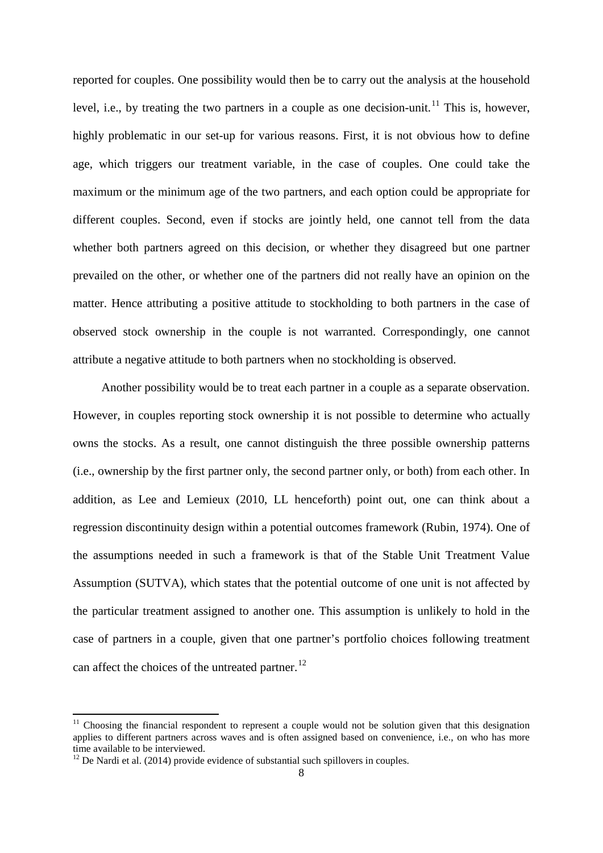reported for couples. One possibility would then be to carry out the analysis at the household level, i.e., by treating the two partners in a couple as one decision-unit.<sup>[11](#page-9-1)</sup> This is, however, highly problematic in our set-up for various reasons. First, it is not obvious how to define age, which triggers our treatment variable, in the case of couples. One could take the maximum or the minimum age of the two partners, and each option could be appropriate for different couples. Second, even if stocks are jointly held, one cannot tell from the data whether both partners agreed on this decision, or whether they disagreed but one partner prevailed on the other, or whether one of the partners did not really have an opinion on the matter. Hence attributing a positive attitude to stockholding to both partners in the case of observed stock ownership in the couple is not warranted. Correspondingly, one cannot attribute a negative attitude to both partners when no stockholding is observed.

Another possibility would be to treat each partner in a couple as a separate observation. However, in couples reporting stock ownership it is not possible to determine who actually owns the stocks. As a result, one cannot distinguish the three possible ownership patterns (i.e., ownership by the first partner only, the second partner only, or both) from each other. In addition, as Lee and Lemieux (2010, LL henceforth) point out, one can think about a regression discontinuity design within a potential outcomes framework (Rubin, 1974). One of the assumptions needed in such a framework is that of the Stable Unit Treatment Value Assumption (SUTVA), which states that the potential outcome of one unit is not affected by the particular treatment assigned to another one. This assumption is unlikely to hold in the case of partners in a couple, given that one partner's portfolio choices following treatment can affect the choices of the untreated partner.<sup>[12](#page-10-0)</sup>

<sup>&</sup>lt;sup>11</sup> Choosing the financial respondent to represent a couple would not be solution given that this designation applies to different partners across waves and is often assigned based on convenience, i.e., on who has more time available to be interviewed.

<span id="page-10-0"></span> $12$  De Nardi et al. (2014) provide evidence of substantial such spillovers in couples.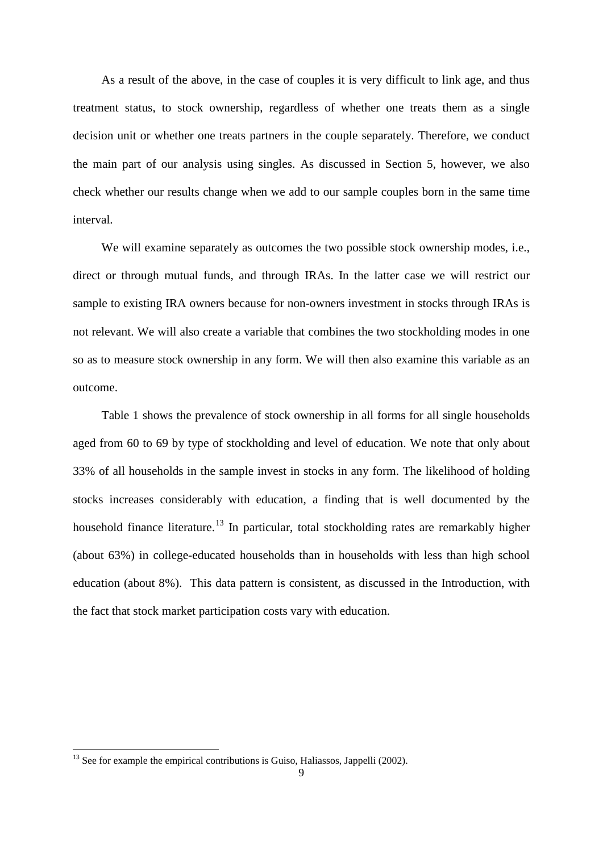As a result of the above, in the case of couples it is very difficult to link age, and thus treatment status, to stock ownership, regardless of whether one treats them as a single decision unit or whether one treats partners in the couple separately. Therefore, we conduct the main part of our analysis using singles. As discussed in Section 5, however, we also check whether our results change when we add to our sample couples born in the same time interval.

We will examine separately as outcomes the two possible stock ownership modes, i.e., direct or through mutual funds, and through IRAs. In the latter case we will restrict our sample to existing IRA owners because for non-owners investment in stocks through IRAs is not relevant. We will also create a variable that combines the two stockholding modes in one so as to measure stock ownership in any form. We will then also examine this variable as an outcome.

Table 1 shows the prevalence of stock ownership in all forms for all single households aged from 60 to 69 by type of stockholding and level of education. We note that only about 33% of all households in the sample invest in stocks in any form. The likelihood of holding stocks increases considerably with education, a finding that is well documented by the household finance literature.<sup>[13](#page-10-0)</sup> In particular, total stockholding rates are remarkably higher (about 63%) in college-educated households than in households with less than high school education (about 8%). This data pattern is consistent, as discussed in the Introduction, with the fact that stock market participation costs vary with education.

<span id="page-11-0"></span> $13$  See for example the empirical contributions is Guiso, Haliassos, Jappelli (2002).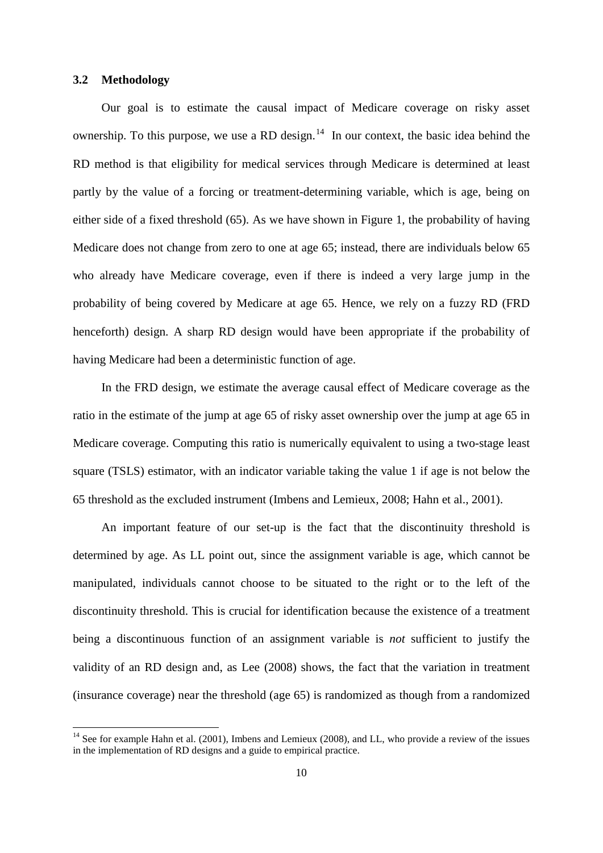#### **3.2 Methodology**

Our goal is to estimate the causal impact of Medicare coverage on risky asset ownership. To this purpose, we use a RD design.<sup>[14](#page-11-0)</sup> In our context, the basic idea behind the RD method is that eligibility for medical services through Medicare is determined at least partly by the value of a forcing or treatment-determining variable, which is age, being on either side of a fixed threshold (65). As we have shown in Figure 1, the probability of having Medicare does not change from zero to one at age 65; instead, there are individuals below 65 who already have Medicare coverage, even if there is indeed a very large jump in the probability of being covered by Medicare at age 65. Hence, we rely on a fuzzy RD (FRD henceforth) design. A sharp RD design would have been appropriate if the probability of having Medicare had been a deterministic function of age.

In the FRD design, we estimate the average causal effect of Medicare coverage as the ratio in the estimate of the jump at age 65 of risky asset ownership over the jump at age 65 in Medicare coverage. Computing this ratio is numerically equivalent to using a two-stage least square (TSLS) estimator, with an indicator variable taking the value 1 if age is not below the 65 threshold as the excluded instrument (Imbens and Lemieux, 2008; Hahn et al., 2001).

An important feature of our set-up is the fact that the discontinuity threshold is determined by age. As LL point out, since the assignment variable is age, which cannot be manipulated, individuals cannot choose to be situated to the right or to the left of the discontinuity threshold. This is crucial for identification because the existence of a treatment being a discontinuous function of an assignment variable is *not* sufficient to justify the validity of an RD design and, as Lee (2008) shows, the fact that the variation in treatment (insurance coverage) near the threshold (age 65) is randomized as though from a randomized

<span id="page-12-0"></span><sup>&</sup>lt;sup>14</sup> See for example Hahn et al. (2001), Imbens and Lemieux (2008), and LL, who provide a review of the issues in the implementation of RD designs and a guide to empirical practice.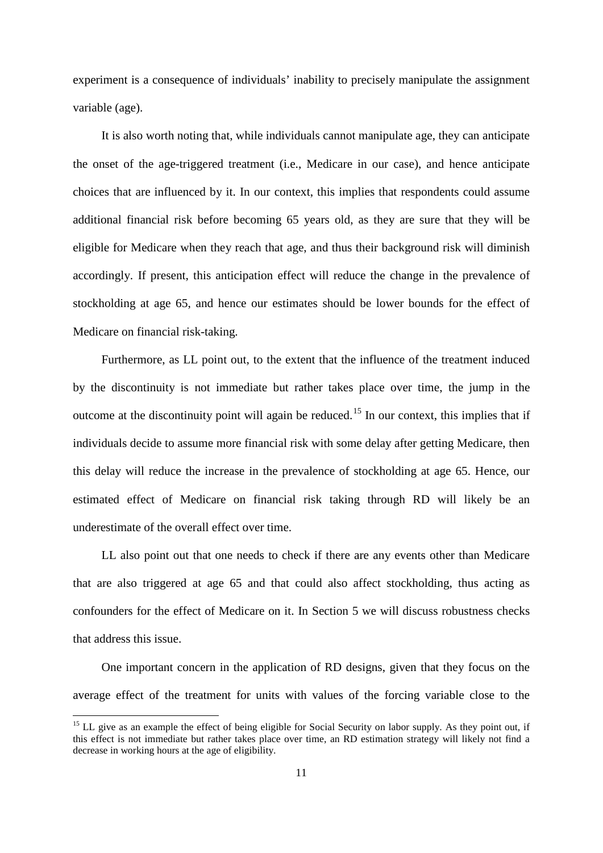experiment is a consequence of individuals' inability to precisely manipulate the assignment variable (age).

It is also worth noting that, while individuals cannot manipulate age, they can anticipate the onset of the age-triggered treatment (i.e., Medicare in our case), and hence anticipate choices that are influenced by it. In our context, this implies that respondents could assume additional financial risk before becoming 65 years old, as they are sure that they will be eligible for Medicare when they reach that age, and thus their background risk will diminish accordingly. If present, this anticipation effect will reduce the change in the prevalence of stockholding at age 65, and hence our estimates should be lower bounds for the effect of Medicare on financial risk-taking.

Furthermore, as LL point out, to the extent that the influence of the treatment induced by the discontinuity is not immediate but rather takes place over time, the jump in the outcome at the discontinuity point will again be reduced.[15](#page-12-0) In our context, this implies that if individuals decide to assume more financial risk with some delay after getting Medicare, then this delay will reduce the increase in the prevalence of stockholding at age 65. Hence, our estimated effect of Medicare on financial risk taking through RD will likely be an underestimate of the overall effect over time.

LL also point out that one needs to check if there are any events other than Medicare that are also triggered at age 65 and that could also affect stockholding, thus acting as confounders for the effect of Medicare on it. In Section 5 we will discuss robustness checks that address this issue.

One important concern in the application of RD designs, given that they focus on the average effect of the treatment for units with values of the forcing variable close to the

<span id="page-13-0"></span><sup>&</sup>lt;sup>15</sup> LL give as an example the effect of being eligible for Social Security on labor supply. As they point out, if this effect is not immediate but rather takes place over time, an RD estimation strategy will likely not find a decrease in working hours at the age of eligibility.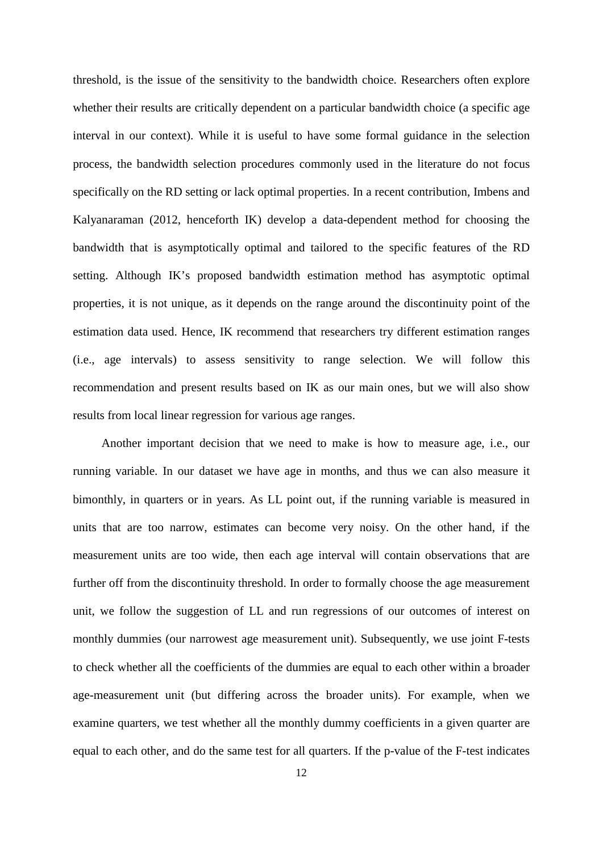threshold, is the issue of the sensitivity to the bandwidth choice. Researchers often explore whether their results are critically dependent on a particular bandwidth choice (a specific age interval in our context). While it is useful to have some formal guidance in the selection process, the bandwidth selection procedures commonly used in the literature do not focus specifically on the RD setting or lack optimal properties. In a recent contribution, Imbens and Kalyanaraman (2012, henceforth IK) develop a data-dependent method for choosing the bandwidth that is asymptotically optimal and tailored to the specific features of the RD setting. Although IK's proposed bandwidth estimation method has asymptotic optimal properties, it is not unique, as it depends on the range around the discontinuity point of the estimation data used. Hence, IK recommend that researchers try different estimation ranges (i.e., age intervals) to assess sensitivity to range selection. We will follow this recommendation and present results based on IK as our main ones, but we will also show results from local linear regression for various age ranges.

Another important decision that we need to make is how to measure age, i.e., our running variable. In our dataset we have age in months, and thus we can also measure it bimonthly, in quarters or in years. As LL point out, if the running variable is measured in units that are too narrow, estimates can become very noisy. On the other hand, if the measurement units are too wide, then each age interval will contain observations that are further off from the discontinuity threshold. In order to formally choose the age measurement unit, we follow the suggestion of LL and run regressions of our outcomes of interest on monthly dummies (our narrowest age measurement unit). Subsequently, we use joint F-tests to check whether all the coefficients of the dummies are equal to each other within a broader age-measurement unit (but differing across the broader units). For example, when we examine quarters, we test whether all the monthly dummy coefficients in a given quarter are equal to each other, and do the same test for all quarters. If the p-value of the F-test indicates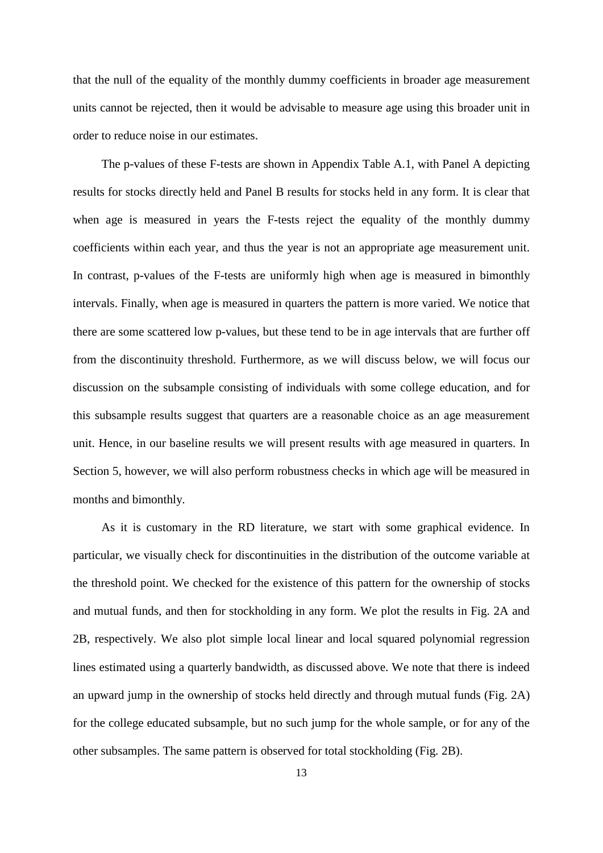that the null of the equality of the monthly dummy coefficients in broader age measurement units cannot be rejected, then it would be advisable to measure age using this broader unit in order to reduce noise in our estimates.

The p-values of these F-tests are shown in Appendix Table A.1, with Panel A depicting results for stocks directly held and Panel B results for stocks held in any form. It is clear that when age is measured in years the F-tests reject the equality of the monthly dummy coefficients within each year, and thus the year is not an appropriate age measurement unit. In contrast, p-values of the F-tests are uniformly high when age is measured in bimonthly intervals. Finally, when age is measured in quarters the pattern is more varied. We notice that there are some scattered low p-values, but these tend to be in age intervals that are further off from the discontinuity threshold. Furthermore, as we will discuss below, we will focus our discussion on the subsample consisting of individuals with some college education, and for this subsample results suggest that quarters are a reasonable choice as an age measurement unit. Hence, in our baseline results we will present results with age measured in quarters. In Section 5, however, we will also perform robustness checks in which age will be measured in months and bimonthly.

As it is customary in the RD literature, we start with some graphical evidence. In particular, we visually check for discontinuities in the distribution of the outcome variable at the threshold point. We checked for the existence of this pattern for the ownership of stocks and mutual funds, and then for stockholding in any form. We plot the results in Fig. 2A and 2B, respectively. We also plot simple local linear and local squared polynomial regression lines estimated using a quarterly bandwidth, as discussed above. We note that there is indeed an upward jump in the ownership of stocks held directly and through mutual funds (Fig. 2A) for the college educated subsample, but no such jump for the whole sample, or for any of the other subsamples. The same pattern is observed for total stockholding (Fig. 2B).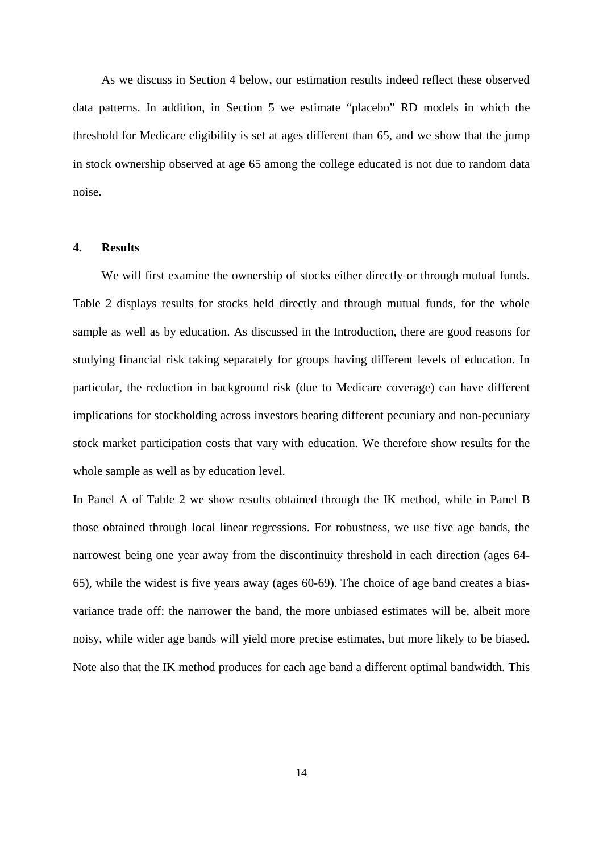As we discuss in Section 4 below, our estimation results indeed reflect these observed data patterns. In addition, in Section 5 we estimate "placebo" RD models in which the threshold for Medicare eligibility is set at ages different than 65, and we show that the jump in stock ownership observed at age 65 among the college educated is not due to random data noise.

#### **4. Results**

We will first examine the ownership of stocks either directly or through mutual funds. Table 2 displays results for stocks held directly and through mutual funds, for the whole sample as well as by education. As discussed in the Introduction, there are good reasons for studying financial risk taking separately for groups having different levels of education. In particular, the reduction in background risk (due to Medicare coverage) can have different implications for stockholding across investors bearing different pecuniary and non-pecuniary stock market participation costs that vary with education. We therefore show results for the whole sample as well as by education level.

In Panel A of Table 2 we show results obtained through the IK method, while in Panel B those obtained through local linear regressions. For robustness, we use five age bands, the narrowest being one year away from the discontinuity threshold in each direction (ages 64- 65), while the widest is five years away (ages 60-69). The choice of age band creates a biasvariance trade off: the narrower the band, the more unbiased estimates will be, albeit more noisy, while wider age bands will yield more precise estimates, but more likely to be biased. Note also that the IK method produces for each age band a different optimal bandwidth. This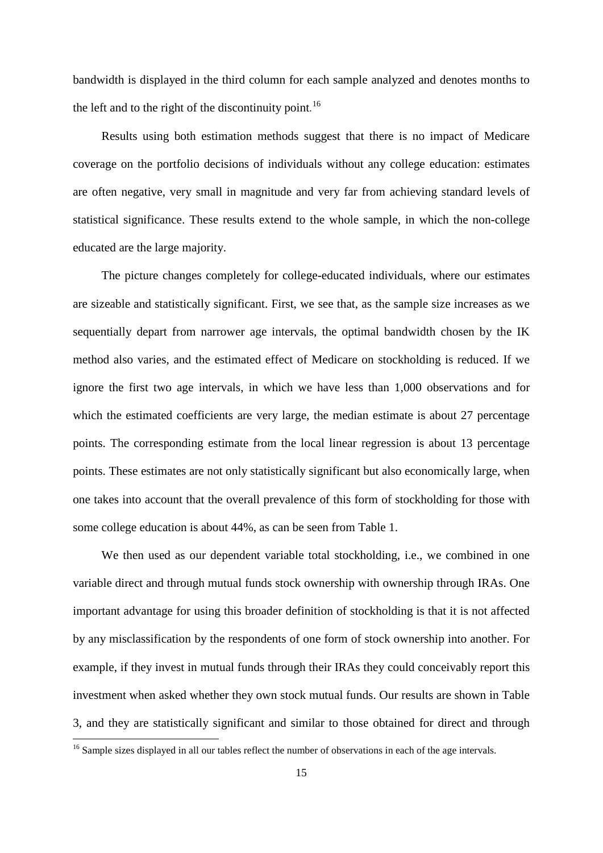bandwidth is displayed in the third column for each sample analyzed and denotes months to the left and to the right of the discontinuity point.<sup>[16](#page-13-0)</sup>

Results using both estimation methods suggest that there is no impact of Medicare coverage on the portfolio decisions of individuals without any college education: estimates are often negative, very small in magnitude and very far from achieving standard levels of statistical significance. These results extend to the whole sample, in which the non-college educated are the large majority.

The picture changes completely for college-educated individuals, where our estimates are sizeable and statistically significant. First, we see that, as the sample size increases as we sequentially depart from narrower age intervals, the optimal bandwidth chosen by the IK method also varies, and the estimated effect of Medicare on stockholding is reduced. If we ignore the first two age intervals, in which we have less than 1,000 observations and for which the estimated coefficients are very large, the median estimate is about 27 percentage points. The corresponding estimate from the local linear regression is about 13 percentage points. These estimates are not only statistically significant but also economically large, when one takes into account that the overall prevalence of this form of stockholding for those with some college education is about 44%, as can be seen from Table 1.

We then used as our dependent variable total stockholding, i.e., we combined in one variable direct and through mutual funds stock ownership with ownership through IRAs. One important advantage for using this broader definition of stockholding is that it is not affected by any misclassification by the respondents of one form of stock ownership into another. For example, if they invest in mutual funds through their IRAs they could conceivably report this investment when asked whether they own stock mutual funds. Our results are shown in Table 3, and they are statistically significant and similar to those obtained for direct and through

**.** 

<sup>&</sup>lt;sup>16</sup> Sample sizes displayed in all our tables reflect the number of observations in each of the age intervals.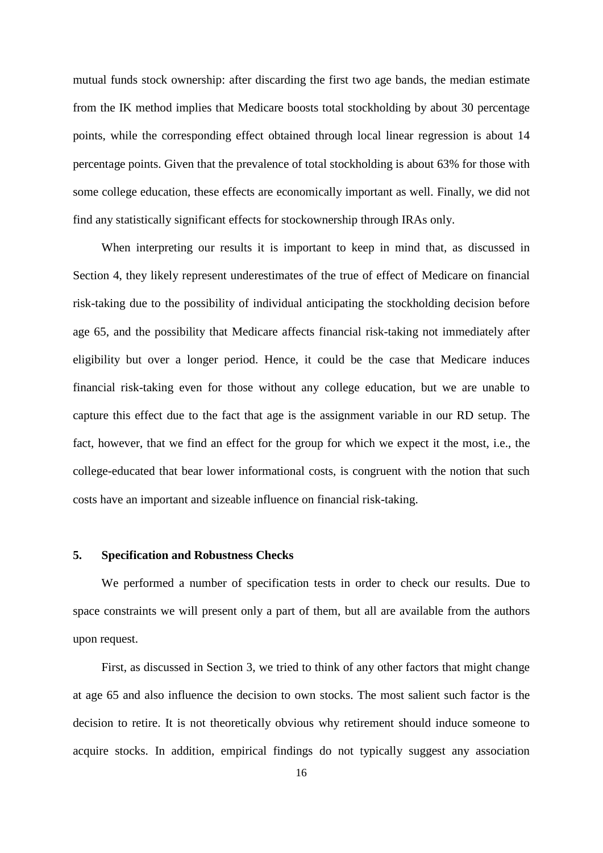mutual funds stock ownership: after discarding the first two age bands, the median estimate from the IK method implies that Medicare boosts total stockholding by about 30 percentage points, while the corresponding effect obtained through local linear regression is about 14 percentage points. Given that the prevalence of total stockholding is about 63% for those with some college education, these effects are economically important as well. Finally, we did not find any statistically significant effects for stockownership through IRAs only.

When interpreting our results it is important to keep in mind that, as discussed in Section 4, they likely represent underestimates of the true of effect of Medicare on financial risk-taking due to the possibility of individual anticipating the stockholding decision before age 65, and the possibility that Medicare affects financial risk-taking not immediately after eligibility but over a longer period. Hence, it could be the case that Medicare induces financial risk-taking even for those without any college education, but we are unable to capture this effect due to the fact that age is the assignment variable in our RD setup. The fact, however, that we find an effect for the group for which we expect it the most, i.e., the college-educated that bear lower informational costs, is congruent with the notion that such costs have an important and sizeable influence on financial risk-taking.

#### **5. Specification and Robustness Checks**

We performed a number of specification tests in order to check our results. Due to space constraints we will present only a part of them, but all are available from the authors upon request.

First, as discussed in Section 3, we tried to think of any other factors that might change at age 65 and also influence the decision to own stocks. The most salient such factor is the decision to retire. It is not theoretically obvious why retirement should induce someone to acquire stocks. In addition, empirical findings do not typically suggest any association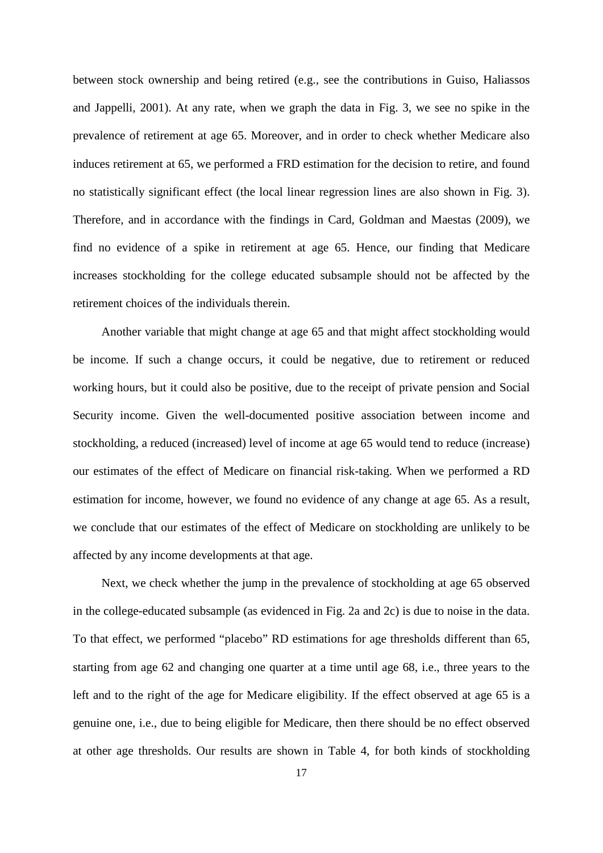between stock ownership and being retired (e.g., see the contributions in Guiso, Haliassos and Jappelli, 2001). At any rate, when we graph the data in Fig. 3, we see no spike in the prevalence of retirement at age 65. Moreover, and in order to check whether Medicare also induces retirement at 65, we performed a FRD estimation for the decision to retire, and found no statistically significant effect (the local linear regression lines are also shown in Fig. 3). Therefore, and in accordance with the findings in Card, Goldman and Maestas (2009), we find no evidence of a spike in retirement at age 65. Hence, our finding that Medicare increases stockholding for the college educated subsample should not be affected by the retirement choices of the individuals therein.

Another variable that might change at age 65 and that might affect stockholding would be income. If such a change occurs, it could be negative, due to retirement or reduced working hours, but it could also be positive, due to the receipt of private pension and Social Security income. Given the well-documented positive association between income and stockholding, a reduced (increased) level of income at age 65 would tend to reduce (increase) our estimates of the effect of Medicare on financial risk-taking. When we performed a RD estimation for income, however, we found no evidence of any change at age 65. As a result, we conclude that our estimates of the effect of Medicare on stockholding are unlikely to be affected by any income developments at that age.

Next, we check whether the jump in the prevalence of stockholding at age 65 observed in the college-educated subsample (as evidenced in Fig. 2a and 2c) is due to noise in the data. To that effect, we performed "placebo" RD estimations for age thresholds different than 65, starting from age 62 and changing one quarter at a time until age 68, i.e., three years to the left and to the right of the age for Medicare eligibility. If the effect observed at age 65 is a genuine one, i.e., due to being eligible for Medicare, then there should be no effect observed at other age thresholds. Our results are shown in Table 4, for both kinds of stockholding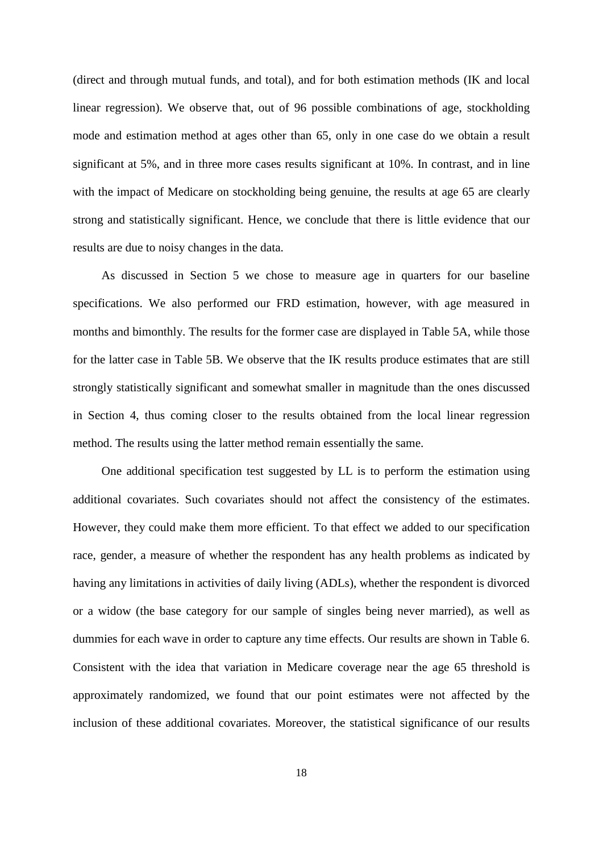(direct and through mutual funds, and total), and for both estimation methods (IK and local linear regression). We observe that, out of 96 possible combinations of age, stockholding mode and estimation method at ages other than 65, only in one case do we obtain a result significant at 5%, and in three more cases results significant at 10%. In contrast, and in line with the impact of Medicare on stockholding being genuine, the results at age 65 are clearly strong and statistically significant. Hence, we conclude that there is little evidence that our results are due to noisy changes in the data.

As discussed in Section 5 we chose to measure age in quarters for our baseline specifications. We also performed our FRD estimation, however, with age measured in months and bimonthly. The results for the former case are displayed in Table 5A, while those for the latter case in Table 5B. We observe that the IK results produce estimates that are still strongly statistically significant and somewhat smaller in magnitude than the ones discussed in Section 4, thus coming closer to the results obtained from the local linear regression method. The results using the latter method remain essentially the same.

One additional specification test suggested by LL is to perform the estimation using additional covariates. Such covariates should not affect the consistency of the estimates. However, they could make them more efficient. To that effect we added to our specification race, gender, a measure of whether the respondent has any health problems as indicated by having any limitations in activities of daily living (ADLs), whether the respondent is divorced or a widow (the base category for our sample of singles being never married), as well as dummies for each wave in order to capture any time effects. Our results are shown in Table 6. Consistent with the idea that variation in Medicare coverage near the age 65 threshold is approximately randomized, we found that our point estimates were not affected by the inclusion of these additional covariates. Moreover, the statistical significance of our results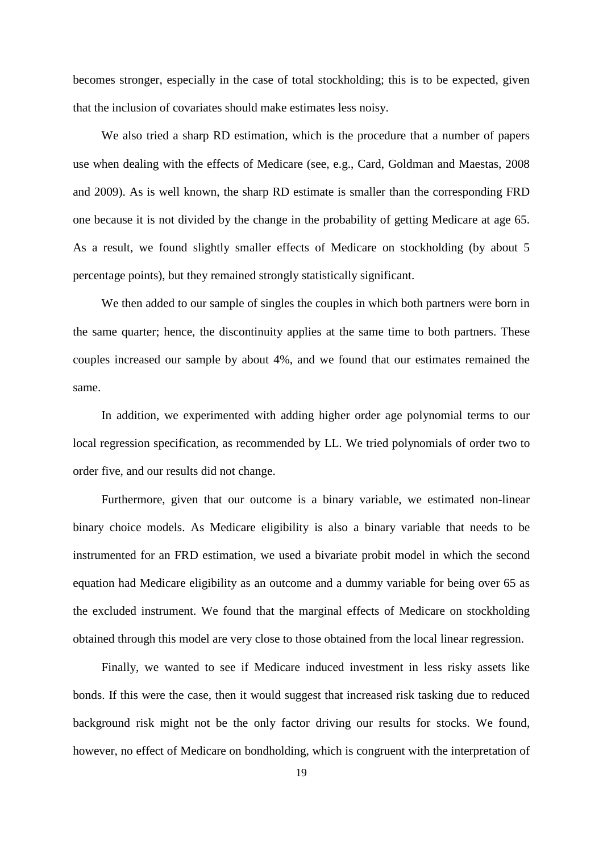becomes stronger, especially in the case of total stockholding; this is to be expected, given that the inclusion of covariates should make estimates less noisy.

We also tried a sharp RD estimation, which is the procedure that a number of papers use when dealing with the effects of Medicare (see, e.g., Card, Goldman and Maestas, 2008 and 2009). As is well known, the sharp RD estimate is smaller than the corresponding FRD one because it is not divided by the change in the probability of getting Medicare at age 65. As a result, we found slightly smaller effects of Medicare on stockholding (by about 5 percentage points), but they remained strongly statistically significant.

We then added to our sample of singles the couples in which both partners were born in the same quarter; hence, the discontinuity applies at the same time to both partners. These couples increased our sample by about 4%, and we found that our estimates remained the same.

In addition, we experimented with adding higher order age polynomial terms to our local regression specification, as recommended by LL. We tried polynomials of order two to order five, and our results did not change.

Furthermore, given that our outcome is a binary variable, we estimated non-linear binary choice models. As Medicare eligibility is also a binary variable that needs to be instrumented for an FRD estimation, we used a bivariate probit model in which the second equation had Medicare eligibility as an outcome and a dummy variable for being over 65 as the excluded instrument. We found that the marginal effects of Medicare on stockholding obtained through this model are very close to those obtained from the local linear regression.

Finally, we wanted to see if Medicare induced investment in less risky assets like bonds. If this were the case, then it would suggest that increased risk tasking due to reduced background risk might not be the only factor driving our results for stocks. We found, however, no effect of Medicare on bondholding, which is congruent with the interpretation of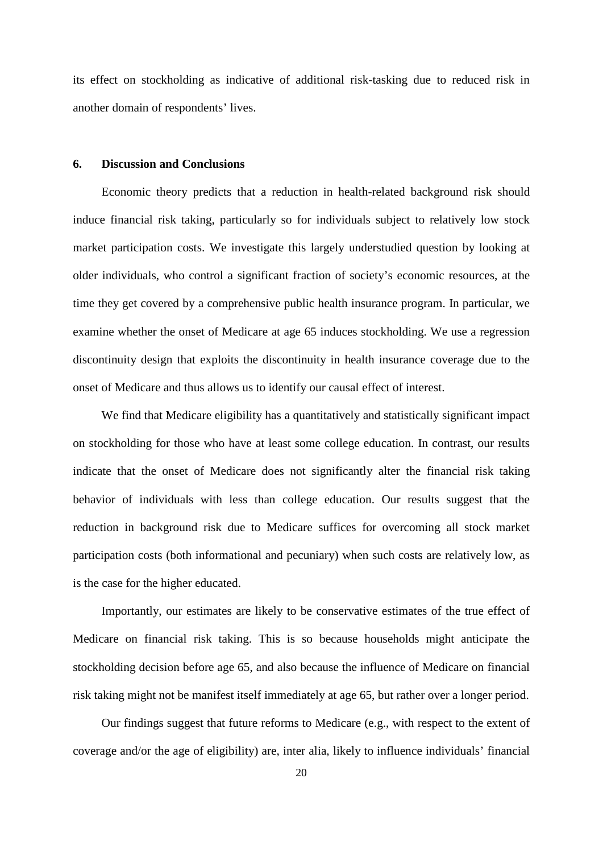its effect on stockholding as indicative of additional risk-tasking due to reduced risk in another domain of respondents' lives.

#### **6. Discussion and Conclusions**

Economic theory predicts that a reduction in health-related background risk should induce financial risk taking, particularly so for individuals subject to relatively low stock market participation costs. We investigate this largely understudied question by looking at older individuals, who control a significant fraction of society's economic resources, at the time they get covered by a comprehensive public health insurance program. In particular, we examine whether the onset of Medicare at age 65 induces stockholding. We use a regression discontinuity design that exploits the discontinuity in health insurance coverage due to the onset of Medicare and thus allows us to identify our causal effect of interest.

We find that Medicare eligibility has a quantitatively and statistically significant impact on stockholding for those who have at least some college education. In contrast, our results indicate that the onset of Medicare does not significantly alter the financial risk taking behavior of individuals with less than college education. Our results suggest that the reduction in background risk due to Medicare suffices for overcoming all stock market participation costs (both informational and pecuniary) when such costs are relatively low, as is the case for the higher educated.

Importantly, our estimates are likely to be conservative estimates of the true effect of Medicare on financial risk taking. This is so because households might anticipate the stockholding decision before age 65, and also because the influence of Medicare on financial risk taking might not be manifest itself immediately at age 65, but rather over a longer period.

Our findings suggest that future reforms to Medicare (e.g., with respect to the extent of coverage and/or the age of eligibility) are, inter alia, likely to influence individuals' financial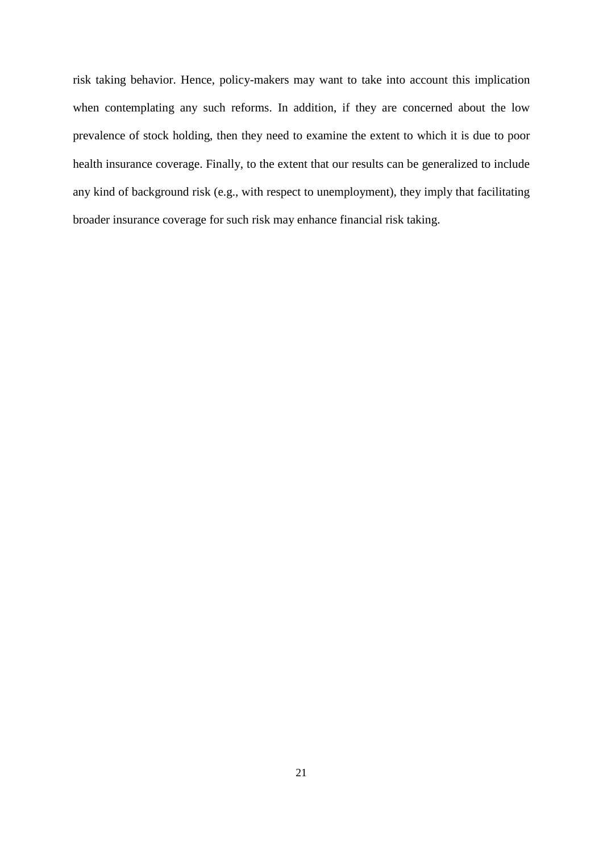risk taking behavior. Hence, policy-makers may want to take into account this implication when contemplating any such reforms. In addition, if they are concerned about the low prevalence of stock holding, then they need to examine the extent to which it is due to poor health insurance coverage. Finally, to the extent that our results can be generalized to include any kind of background risk (e.g., with respect to unemployment), they imply that facilitating broader insurance coverage for such risk may enhance financial risk taking.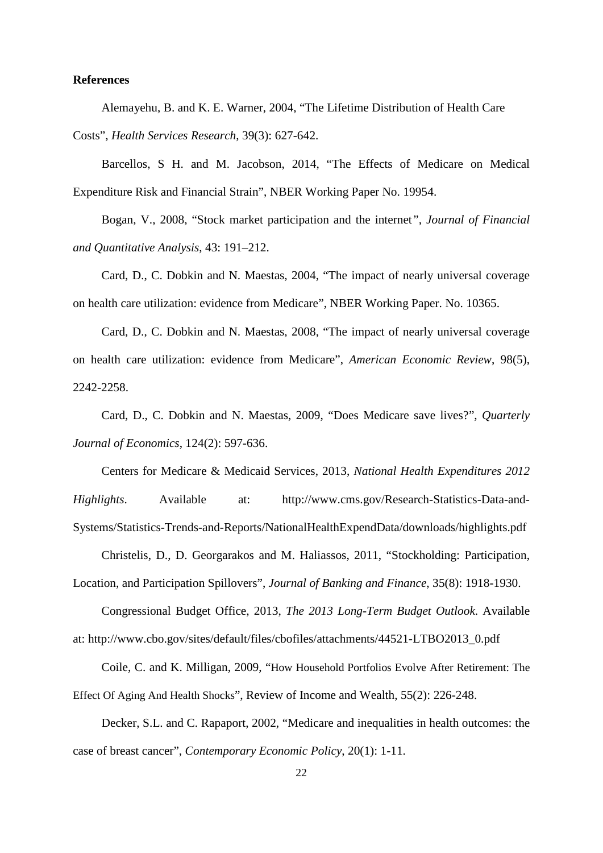#### **References**

Alemayehu, B. and K. E. Warner, 2004, "The Lifetime Distribution of Health Care Costs", *Health Services Research*, 39(3): 627-642.

Barcellos, S H. and M. Jacobson, 2014, "The Effects of Medicare on Medical Expenditure Risk and Financial Strain", NBER Working Paper No. 19954.

Bogan, V., 2008, "Stock market participation and the internet*", Journal of Financial and Quantitative Analysis*, 43: 191–212.

Card, D., C. Dobkin and N. Maestas, 2004, "The impact of nearly universal coverage on health care utilization: evidence from Medicare", NBER Working Paper. No. 10365.

Card, D., C. Dobkin and N. Maestas, 2008, "The impact of nearly universal coverage on health care utilization: evidence from Medicare", *American Economic Review*, 98(5), 2242-2258.

Card, D., C. Dobkin and N. Maestas, 2009, "Does Medicare save lives?", *Quarterly Journal of Economics*, 124(2): 597-636.

Centers for Medicare & Medicaid Services, 2013, *National Health Expenditures 2012 Highlights*. Available at: http://www.cms.gov/Research-Statistics-Data-and-Systems/Statistics-Trends-and-Reports/NationalHealthExpendData/downloads/highlights.pdf

Christelis, D., D. Georgarakos and M. Haliassos, 2011, "Stockholding: Participation, Location, and Participation Spillovers", *Journal of Banking and Finance*, 35(8): 1918-1930.

Congressional Budget Office, 2013, *The 2013 Long-Term Budget Outlook*. Available at: http://www.cbo.gov/sites/default/files/cbofiles/attachments/44521-LTBO2013\_0.pdf

Coile, C. and K. Milligan, 2009, "How Household Portfolios Evolve After Retirement: The Effect Of Aging And Health Shocks", Review of Income and Wealth, 55(2): 226-248.

Decker, S.L. and C. Rapaport, 2002, "Medicare and inequalities in health outcomes: the case of breast cancer", *Contemporary Economic Policy*, 20(1): 1-11.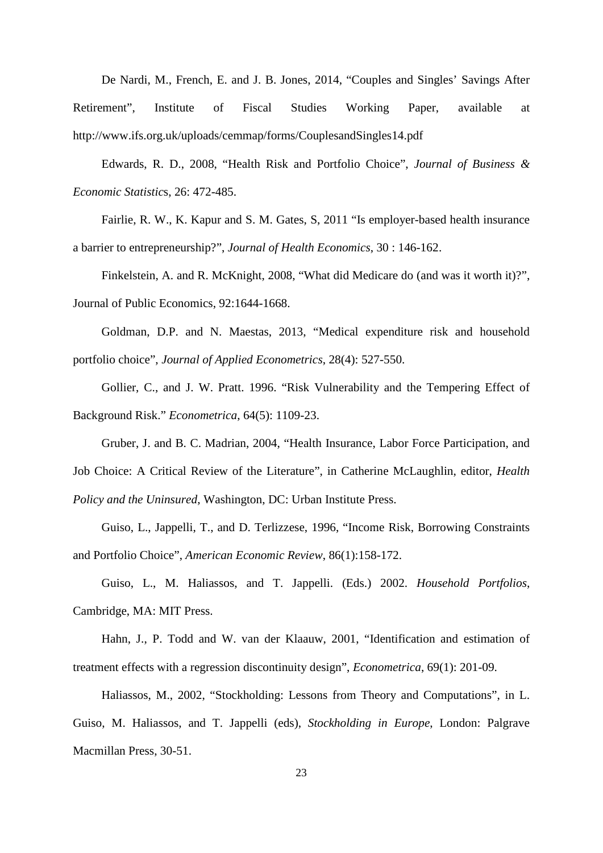De Nardi, M., French, E. and J. B. Jones, 2014, "Couples and Singles' Savings After Retirement", Institute of Fiscal Studies Working Paper, available at http://www.ifs.org.uk/uploads/cemmap/forms/CouplesandSingles14.pdf

Edwards, R. D., 2008, "Health Risk and Portfolio Choice", *Journal of Business & Economic Statistic*s, 26: 472-485.

Fairlie, R. W., K. Kapur and S. M. Gates, S, 2011 "Is employer-based health insurance a barrier to entrepreneurship?", *Journal of Health Economics*, 30 : 146-162.

Finkelstein, A. and R. McKnight, 2008, "What did Medicare do (and was it worth it)?", Journal of Public Economics, 92:1644-1668.

Goldman, D.P. and N. Maestas, 2013, "Medical expenditure risk and household portfolio choice", *Journal of Applied Econometrics*, 28(4): 527-550.

Gollier, C., and J. W. Pratt. 1996. "Risk Vulnerability and the Tempering Effect of Background Risk." *Econometrica*, 64(5): 1109-23.

Gruber, J. and B. C. Madrian, 2004, "Health Insurance, Labor Force Participation, and Job Choice: A Critical Review of the Literature", in Catherine McLaughlin, editor, *Health Policy and the Uninsured*, Washington, DC: Urban Institute Press.

Guiso, L., Jappelli, T., and D. Terlizzese, 1996, "Income Risk, Borrowing Constraints and Portfolio Choice", *American Economic Review*, 86(1):158-172.

Guiso, L., M. Haliassos, and T. Jappelli. (Eds.) 2002. *Household Portfolios*, Cambridge, MA: MIT Press.

Hahn, J., P. Todd and W. van der Klaauw, 2001, "Identification and estimation of treatment effects with a regression discontinuity design", *Econometrica*, 69(1): 201-09.

Haliassos, M., 2002, "Stockholding: Lessons from Theory and Computations", in L. Guiso, M. Haliassos, and T. Jappelli (eds), *Stockholding in Europe*, London: Palgrave Macmillan Press, 30-51.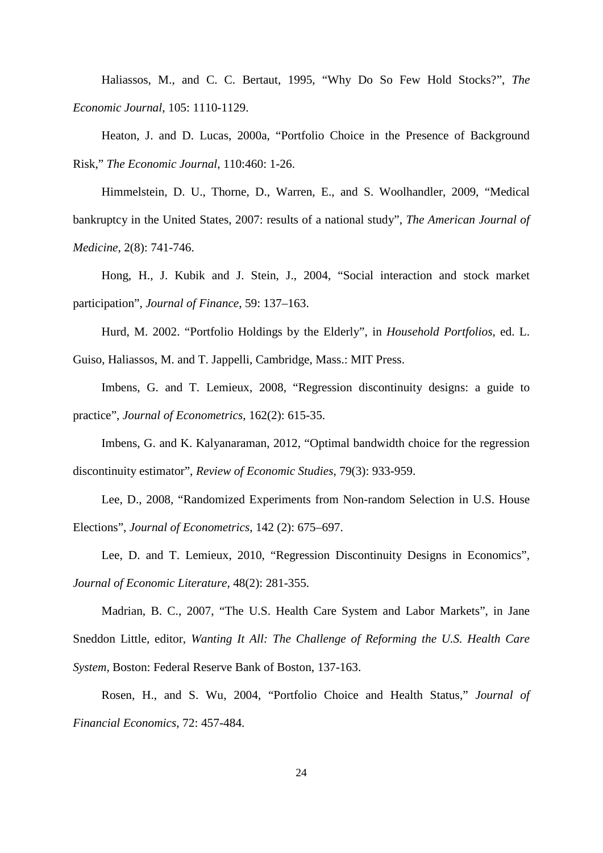Haliassos, M., and C. C. Bertaut, 1995, "Why Do So Few Hold Stocks?", *The Economic Journal*, 105: 1110-1129.

Heaton, J. and D. Lucas, 2000a, "Portfolio Choice in the Presence of Background Risk," *The Economic Journal*, 110:460: 1-26.

Himmelstein, D. U., Thorne, D., Warren, E., and S. Woolhandler, 2009, "Medical bankruptcy in the United States, 2007: results of a national study", *The American Journal of Medicine*, 2(8): 741-746.

Hong, H., J. Kubik and J. Stein, J., 2004, "Social interaction and stock market participation", *Journal of Finance*, 59: 137–163.

Hurd, M. 2002. "Portfolio Holdings by the Elderly", in *Household Portfolios*, ed. L. Guiso, Haliassos, M. and T. Jappelli, Cambridge, Mass.: MIT Press.

Imbens, G. and T. Lemieux, 2008, "Regression discontinuity designs: a guide to practice", *Journal of Econometrics*, 162(2): 615-35.

Imbens, G. and K. Kalyanaraman, 2012, "Optimal bandwidth choice for the regression discontinuity estimator", *Review of Economic Studies*, 79(3): 933-959.

Lee, D., 2008, "Randomized Experiments from Non-random Selection in U.S. House Elections", *Journal of Econometrics*, 142 (2): 675–697.

Lee, D. and T. Lemieux, 2010, "Regression Discontinuity Designs in Economics", *Journal of Economic Literature*, 48(2): 281-355.

Madrian, B. C., 2007, "The U.S. Health Care System and Labor Markets", in Jane Sneddon Little, editor, *Wanting It All: The Challenge of Reforming the U.S. Health Care System*, Boston: Federal Reserve Bank of Boston, 137-163.

Rosen, H., and S. Wu, 2004, "Portfolio Choice and Health Status," *Journal of Financial Economics*, 72: 457-484.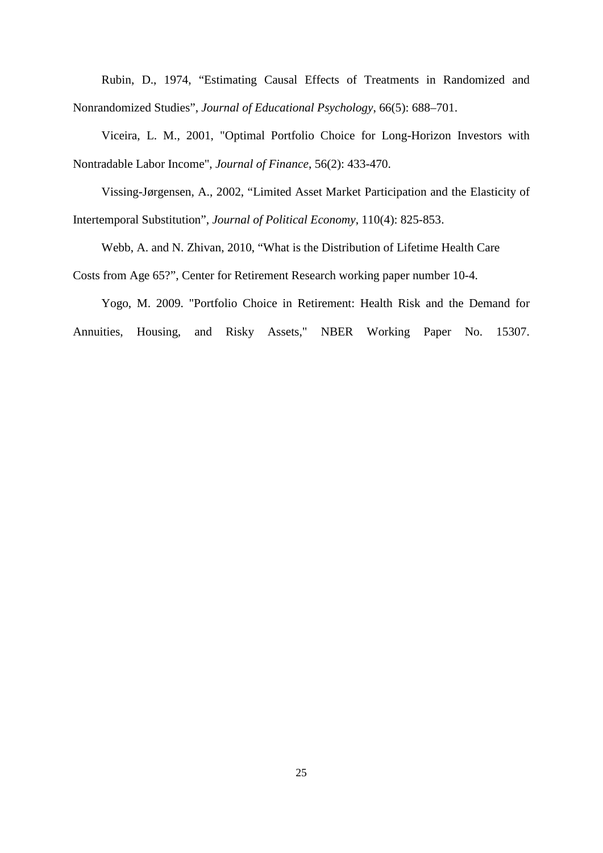Rubin, D., 1974, "Estimating Causal Effects of Treatments in Randomized and Nonrandomized Studies", *Journal of Educational Psychology*, 66(5): 688–701.

Viceira, L. M., 2001, "Optimal Portfolio Choice for Long-Horizon Investors with Nontradable Labor Income", *Journal of Finance*, 56(2): 433-470.

Vissing-Jørgensen, A., 2002, "Limited Asset Market Participation and the Elasticity of Intertemporal Substitution", *Journal of Political Economy*, 110(4): 825-853.

Webb, A. and N. Zhivan, 2010, "What is the Distribution of Lifetime Health Care

Costs from Age 65?", Center for Retirement Research working paper number 10-4.

Yogo, M. 2009. "Portfolio Choice in Retirement: Health Risk and the Demand for Annuities, Housing, and Risky Assets," NBER Working Paper No. 15307.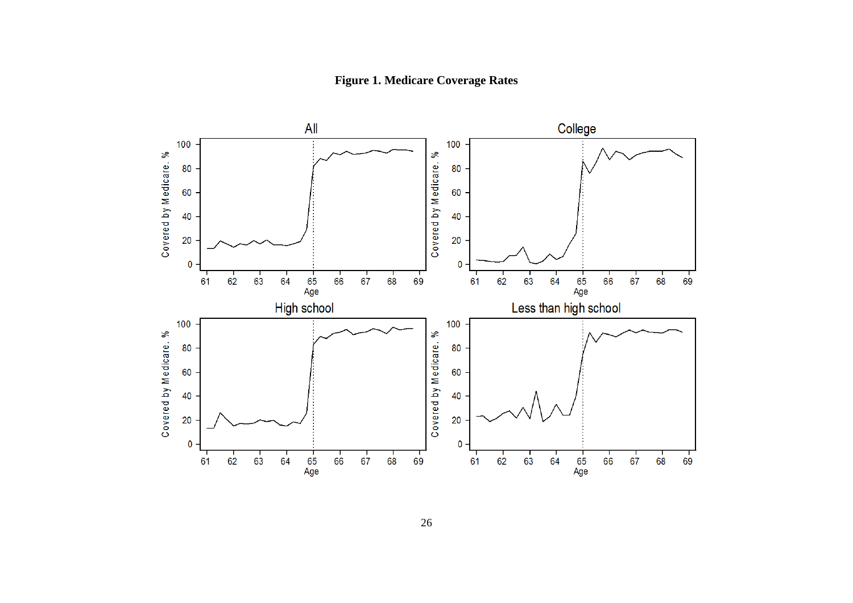**Figure 1. Medicare Coverage Rates**

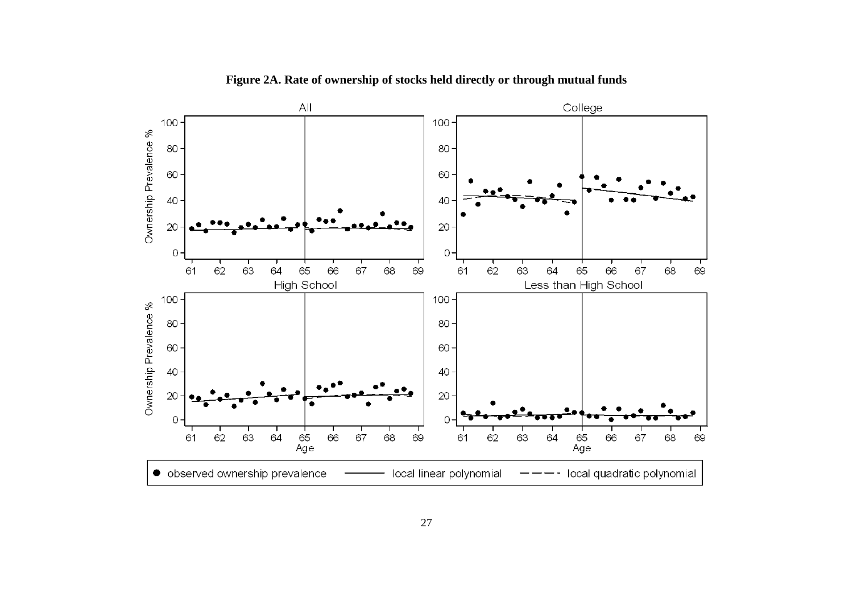

**Figure 2A. Rate of ownership of stocks held directly or through mutual funds**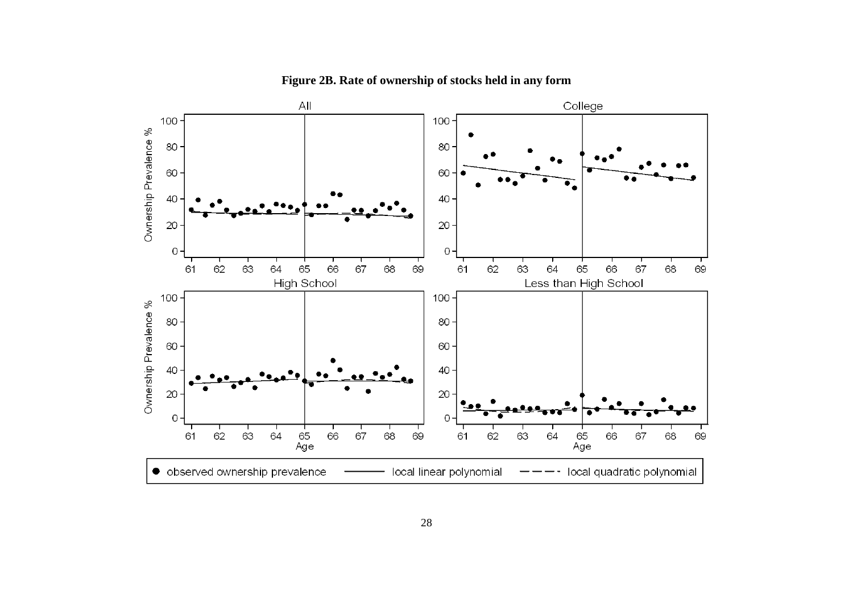

**Figure 2B. Rate of ownership of stocks held in any form**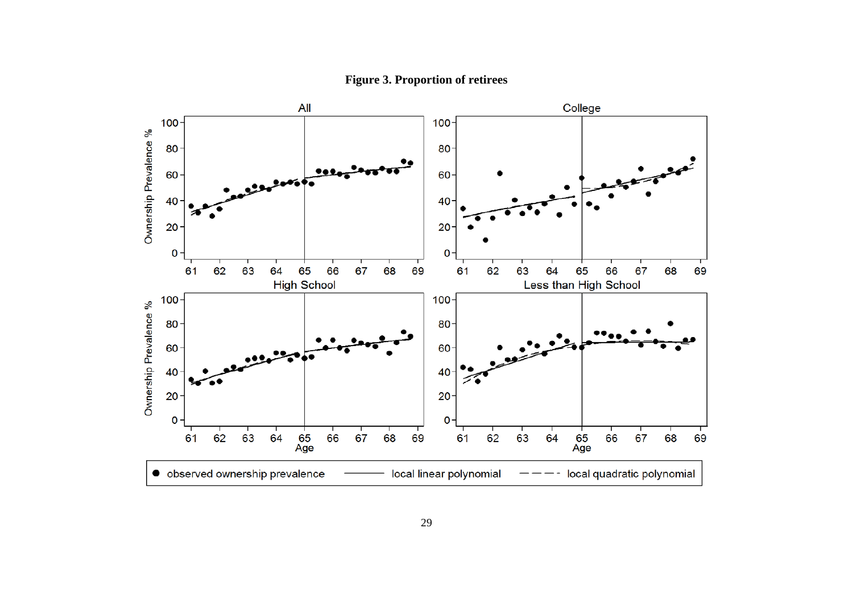

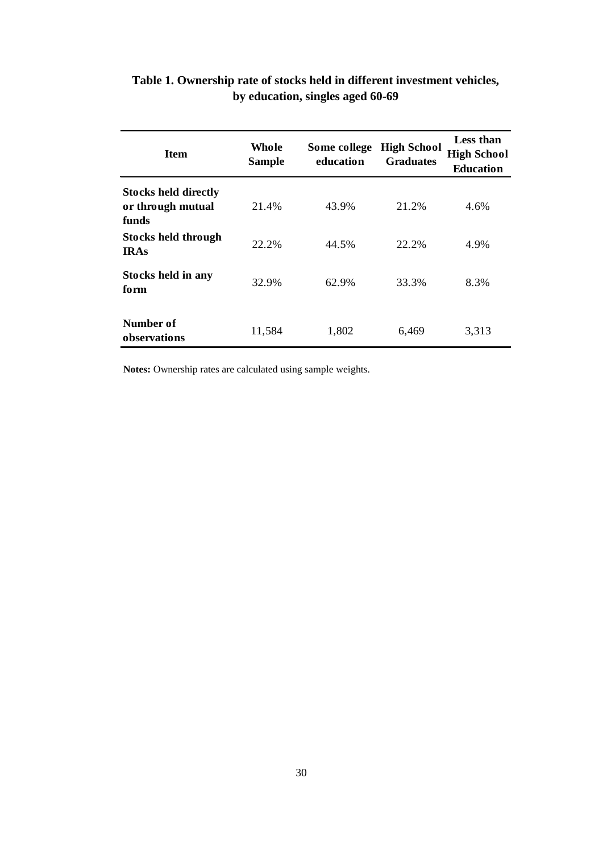| <b>Item</b>                                               | Whole<br><b>Sample</b> | Some college<br>education | <b>High School</b><br><b>Graduates</b> | Less than<br><b>High School</b><br><b>Education</b> |
|-----------------------------------------------------------|------------------------|---------------------------|----------------------------------------|-----------------------------------------------------|
| <b>Stocks held directly</b><br>or through mutual<br>funds | 21.4%                  | 43.9%                     | 21.2%                                  | 4.6%                                                |
| <b>Stocks held through</b><br><b>IRAs</b>                 | 22.2%                  | 44.5%                     | 22.2%                                  | 4.9%                                                |
| Stocks held in any<br>form                                | 32.9%                  | 62.9%                     | 33.3%                                  | 8.3%                                                |
| Number of<br>observations                                 | 11,584                 | 1,802                     | 6,469                                  | 3,313                                               |

## **Table 1. Ownership rate of stocks held in different investment vehicles, by education, singles aged 60-69**

**Notes:** Ownership rates are calculated using sample weights.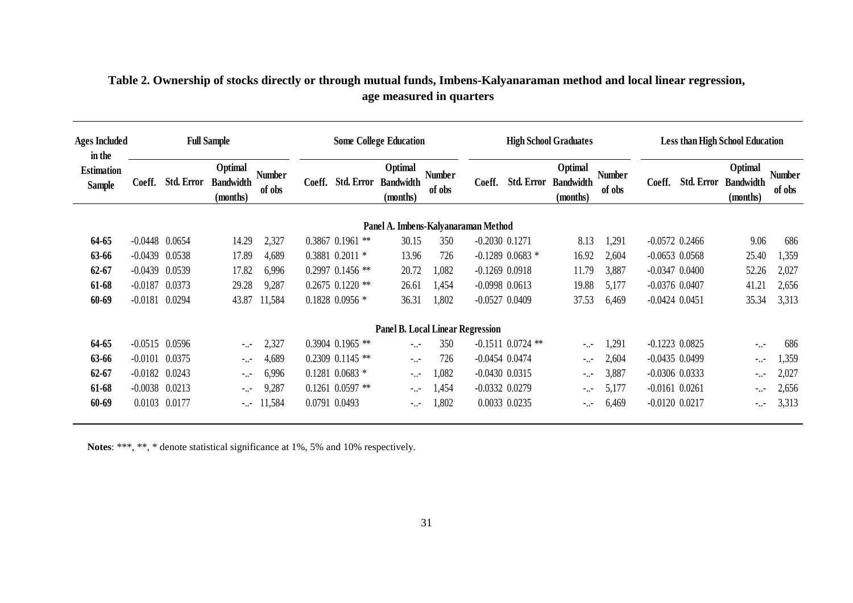| <b>Ages Included</b><br>in the     |                  |                   | <b>Full Sample</b>                      |                         | <b>Some College Education</b> |                      |                                         |                         |                    |                       | <b>High School Graduates</b>            |                         |                    | <b>Less than High School Education</b>      |                  |  |  |  |
|------------------------------------|------------------|-------------------|-----------------------------------------|-------------------------|-------------------------------|----------------------|-----------------------------------------|-------------------------|--------------------|-----------------------|-----------------------------------------|-------------------------|--------------------|---------------------------------------------|------------------|--|--|--|
| <b>Estimation</b><br><b>Sample</b> | Coeff.           | <b>Std. Error</b> | Optimal<br><b>Bandwidth</b><br>(months) | <b>Number</b><br>of obs | Coeff.                        | <b>Std. Error</b>    | Optimal<br><b>Bandwidth</b><br>(months) | <b>Number</b><br>of obs | Coeff.             | <b>Std. Error</b>     | Optimal<br><b>Bandwidth</b><br>(months) | <b>Number</b><br>of obs | Coeff.             | Optimal<br>Std. Error Bandwidth<br>(months) | Number<br>of obs |  |  |  |
|                                    |                  |                   |                                         |                         |                               |                      | Panel A. Imbens-Kalyanaraman Method     |                         |                    |                       |                                         |                         |                    |                                             |                  |  |  |  |
| 64-65                              | $-0.0448$ 0.0654 |                   | 14.29                                   | 2,327                   |                               | 0.3867 0.1961<br>**  | 30.15                                   | 350                     | $-0.2030$ $0.1271$ |                       | 8.13                                    | 1,291                   | $-0.0572$ 0.2466   | 9.06                                        | 686              |  |  |  |
| 63-66                              | $-0.0439$        | 0.0538            | 17.89                                   | 4,689                   |                               | $0.3881$ $0.2011$ *  | 13.96                                   | 726                     |                    | $-0.1289$ 0.0683 *    | 16.92                                   | 2,604                   | $-0.0653$ $0.0568$ | 25.40                                       | 1,359            |  |  |  |
| $62 - 67$                          | $-0.0439$        | 0.0539            | 17.82                                   | 6,996                   |                               | $0.2997$ $0.1456$ ** | 20.72                                   | 1,082                   | $-0.1269$ $0.0918$ |                       | 11.79                                   | 3,887                   | $-0.0347$ $0.0400$ | 52.26                                       | 2,027            |  |  |  |
| 61-68                              | $-0.0187$        | 0.0373            | 29.28                                   | 9,287                   |                               | $0.2675$ $0.1220$ ** | 26.61                                   | 1,454                   | $-0.0998$ $0.0613$ |                       | 19.88                                   | 5,177                   | $-0.0376$ 0.0407   | 41.21                                       | 2,656            |  |  |  |
| 60-69                              | $-0.0181$        | 0.0294            | 43.87                                   | 11,584                  |                               | $0.1828$ 0.0956 $*$  | 36.31                                   | 1,802                   | $-0.0527$ $0.0409$ |                       | 37.53                                   | 6,469                   | $-0.0424$ $0.0451$ | 35.34                                       | 3,313            |  |  |  |
|                                    |                  |                   |                                         |                         |                               |                      | <b>Panel B. Local Linear Regression</b> |                         |                    |                       |                                         |                         |                    |                                             |                  |  |  |  |
| 64-65                              | $-0.0515$        | 0.0596            | $-1.7$                                  | 2,327                   |                               | $0.3904$ $0.1965$ ** | $-1.1 -$                                | 350                     |                    | $-0.1511$ $0.0724$ ** | $\sim 10^{-1}$                          | 1,291                   | $-0.1223$ $0.0825$ | $-1.7$                                      | 686              |  |  |  |
| 63-66                              | $-0.0101$        | 0.0375            | $\sim 10^{-1}$                          | 4,689                   |                               | 0.2309 0.1145 **     | $-1.7$                                  | 726                     | $-0.0454$ $0.0474$ |                       | $-1.7$                                  | 2,604                   | $-0.0435$ 0.0499   | $-1.7$                                      | 1,359            |  |  |  |
| $62 - 67$                          | $-0.0182$        | 0.0243            | $\sim 10^{-1}$                          | 6,996                   |                               | $0.1281$ $0.0683$ *  | $-1.7 -$                                | 1,082                   | $-0.0430$ $0.0315$ |                       | $-1.7 -$                                | 3,887                   | $-0.0306$ $0.0333$ | $\sim 10^{-1}$                              | 2,027            |  |  |  |
| 61-68                              | $-0.0038$        | 0.0213            | $\sim 10^{-1}$                          | 9,287                   |                               | $0.1261$ $0.0597$ ** | $-1.7$                                  | 1,454                   | $-0.0332$ $0.0279$ |                       | $-0.7$                                  | 5,177                   | $-0.0161$ $0.0261$ | $-1.7$                                      | 2,656            |  |  |  |
| 60-69                              | 0.0103           | 0.0177            | $-1.7$                                  | 11,584                  |                               | 0.0791 0.0493        | $-1.7$                                  | 1,802                   | 0.0033 0.0235      |                       | $-1.7$                                  | 6,469                   | $-0.0120$ $0.0217$ | --                                          | 3,313            |  |  |  |

### **Table 2. Ownership of stocks directly or through mutual funds, Imbens-Kalyanaraman method and local linear regression, age measured in quarters**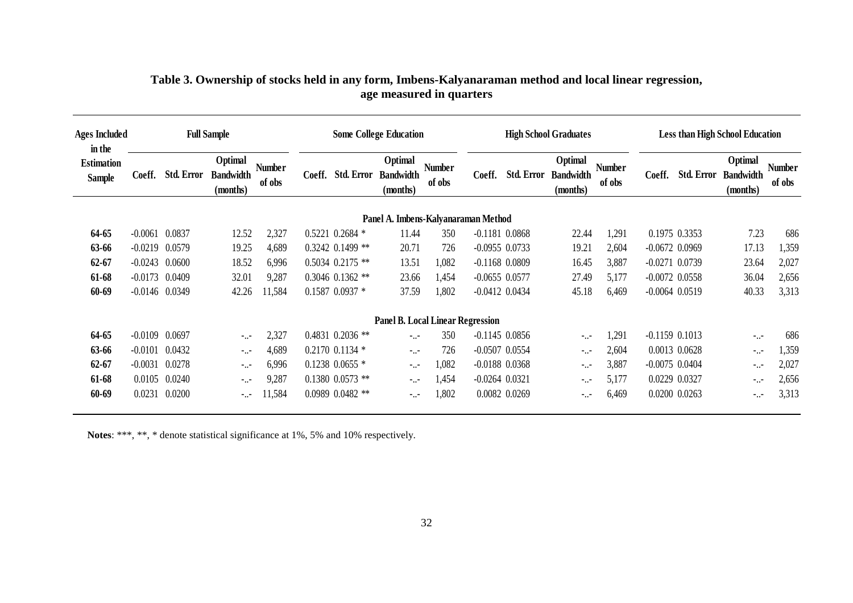| Ages Included<br>in the            |                    |                   | <b>Full Sample</b>                      |                         |        |                      | <b>Some College Education</b>           |                         |                    |                   | <b>High School Graduates</b>            |                         |                    | <b>Less than High School Education</b> |                                         |                  |
|------------------------------------|--------------------|-------------------|-----------------------------------------|-------------------------|--------|----------------------|-----------------------------------------|-------------------------|--------------------|-------------------|-----------------------------------------|-------------------------|--------------------|----------------------------------------|-----------------------------------------|------------------|
| <b>Estimation</b><br><b>Sample</b> | Coeff.             | <b>Std. Error</b> | Optimal<br><b>Bandwidth</b><br>(months) | <b>Number</b><br>of obs | Coeff. | <b>Std. Error</b>    | Optimal<br><b>Bandwidth</b><br>(months) | <b>Number</b><br>of obs | Coeff.             | <b>Std. Error</b> | Optimal<br><b>Bandwidth</b><br>(months) | <b>Number</b><br>of obs | Coeff.             | <b>Std. Error</b>                      | Optimal<br><b>Bandwidth</b><br>(months) | Number<br>of obs |
|                                    |                    |                   |                                         |                         |        |                      | Panel A. Imbens-Kalyanaraman Method     |                         |                    |                   |                                         |                         |                    |                                        |                                         |                  |
| 64-65                              | $-0.0061$          | 0.0837            | 12.52                                   | 2,327                   |        | $0.5221$ $0.2684$ *  | 11.44                                   | 350                     | $-0.1181$ $0.0868$ |                   | 22.44                                   | 1,291                   |                    | 0.1975 0.3353                          | 7.23                                    | 686              |
| 63-66                              | $-0.0219$          | 0.0579            | 19.25                                   | 4,689                   |        | $0.3242$ 0.1499 **   | 20.71                                   | 726                     | $-0.0955$ 0.0733   |                   | 19.21                                   | 2,604                   | $-0.0672$ 0.0969   |                                        | 17.13                                   | 1,359            |
| $62 - 67$                          | $-0.0243$          | 0.0600            | 18.52                                   | 6,996                   |        | $0.5034$ $0.2175$ ** | 13.51                                   | 1,082                   | $-0.1168$ $0.0809$ |                   | 16.45                                   | 3,887                   | $-0.0271$ $0.0739$ |                                        | 23.64                                   | 2,027            |
| 61-68                              | $-0.0173$ $0.0409$ |                   | 32.01                                   | 9,287                   |        | $0.3046$ $0.1362$ ** | 23.66                                   | 1,454                   | $-0.0655$ 0.0577   |                   | 27.49                                   | 5,177                   | $-0.0072$ 0.0558   |                                        | 36.04                                   | 2,656            |
| 60-69                              | $-0.0146$ 0.0349   |                   | 42.26                                   | 11,584                  |        | $0.1587 0.0937$ *    | 37.59                                   | 1,802                   | $-0.0412$ $0.0434$ |                   | 45.18                                   | 6,469                   | $-0.0064$ $0.0519$ |                                        | 40.33                                   | 3,313            |
|                                    |                    |                   |                                         |                         |        |                      | <b>Panel B. Local Linear Regression</b> |                         |                    |                   |                                         |                         |                    |                                        |                                         |                  |
| 64-65                              | $-0.0109$          | 0.0697            | $\sim$                                  | 2,327                   |        | $0.4831$ $0.2036$ ** | $-1.7$                                  | 350                     | $-0.1145$ $0.0856$ |                   | 7.77                                    | 1,291                   | $-0.1159$ $0.1013$ |                                        | $-1.7$                                  | 686              |
| 63-66                              | $-0.0101$          | 0.0432            | $\sim$                                  | 4,689                   |        | $0.2170$ 0.1134 $*$  | 1.11                                    | 726                     | $-0.0507$ $0.0554$ |                   | $-1.7 -$                                | 2,604                   |                    | 0.0013 0.0628                          | $\sim 10^{-1}$                          | 1,359            |
| $62 - 67$                          | $-0.0031$          | 0.0278            | $\sim$                                  | 6,996                   |        | $0.1238$ 0.0655 $*$  | $\sim 1.1$                              | 1,082                   | $-0.0188$ $0.0368$ |                   | $-1.7$                                  | 3,887                   | $-0.0075$ 0.0404   |                                        | $-1.1 -$                                | 2,027            |
| 61-68                              | 0.0105             | 0.0240            | $\sim$                                  | 9,287                   |        | $0.1380$ $0.0573$ ** | 7.77                                    | 1,454                   | $-0.0264$ $0.0321$ |                   | $-1.7 -$                                | 5,177                   |                    | 0.0229 0.0327                          | $-1.1 -$                                | 2,656            |
| 60-69                              | 0.0231             | 0.0200            | $-1.7$                                  | 11,584                  |        | $0.0989$ $0.0482$ ** | 1.11                                    | 1,802                   |                    | 0.0082 0.0269     | $\sim$                                  | 6,469                   |                    | 0.0200 0.0263                          | $-1.1 -$                                | 3,313            |

### **Table 3. Ownership of stocks held in any form, Imbens-Kalyanaraman method and local linear regression, age measured in quarters**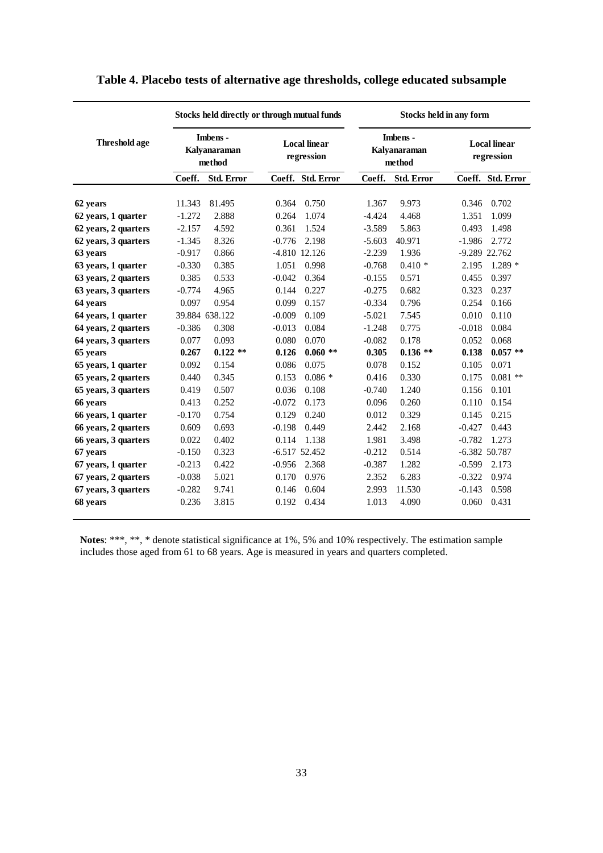|                      |          | Stocks held directly or through mutual funds |          |                                   |          | Stocks held in any form            |                                   |                   |  |  |  |  |
|----------------------|----------|----------------------------------------------|----------|-----------------------------------|----------|------------------------------------|-----------------------------------|-------------------|--|--|--|--|
| <b>Threshold age</b> |          | Imbens -<br>Kalyanaraman<br>method           |          | <b>Local linear</b><br>regression |          | Imbens -<br>Kalyanaraman<br>method | <b>Local linear</b><br>regression |                   |  |  |  |  |
|                      | Coeff.   | <b>Std. Error</b>                            |          | Coeff. Std. Error                 | Coeff.   | <b>Std. Error</b>                  |                                   | Coeff. Std. Error |  |  |  |  |
| 62 years             | 11.343   | 81.495                                       | 0.364    | 0.750                             | 1.367    | 9.973                              | 0.346                             | 0.702             |  |  |  |  |
| 62 years, 1 quarter  | $-1.272$ | 2.888                                        | 0.264    | 1.074                             | $-4.424$ | 4.468                              | 1.351                             | 1.099             |  |  |  |  |
| 62 years, 2 quarters | $-2.157$ | 4.592                                        | 0.361    | 1.524                             | $-3.589$ | 5.863                              | 0.493                             | 1.498             |  |  |  |  |
| 62 years, 3 quarters | $-1.345$ | 8.326                                        | $-0.776$ | 2.198                             | $-5.603$ | 40.971                             | $-1.986$                          | 2.772             |  |  |  |  |
| 63 years             | $-0.917$ | 0.866                                        |          | -4.810 12.126                     | $-2.239$ | 1.936                              |                                   | -9.289 22.762     |  |  |  |  |
| 63 years, 1 quarter  | $-0.330$ | 0.385                                        | 1.051    | 0.998                             | $-0.768$ | $0.410*$                           | 2.195                             | $1.289*$          |  |  |  |  |
| 63 years, 2 quarters | 0.385    | 0.533                                        | $-0.042$ | 0.364                             | $-0.155$ | 0.571                              | 0.455                             | 0.397             |  |  |  |  |
| 63 years, 3 quarters | $-0.774$ | 4.965                                        | 0.144    | 0.227                             | $-0.275$ | 0.682                              | 0.323                             | 0.237             |  |  |  |  |
| 64 years             | 0.097    | 0.954                                        | 0.099    | 0.157                             | $-0.334$ | 0.796                              | 0.254                             | 0.166             |  |  |  |  |
| 64 years, 1 quarter  |          | 39.884 638.122                               | $-0.009$ | 0.109                             | $-5.021$ | 7.545                              | 0.010                             | 0.110             |  |  |  |  |
| 64 years, 2 quarters | $-0.386$ | 0.308                                        | $-0.013$ | 0.084                             | $-1.248$ | 0.775                              | $-0.018$                          | 0.084             |  |  |  |  |
| 64 years, 3 quarters | 0.077    | 0.093                                        | 0.080    | 0.070                             | $-0.082$ | 0.178                              | 0.052                             | 0.068             |  |  |  |  |
| 65 years             | 0.267    | $0.122**$                                    | 0.126    | $0.060**$                         | 0.305    | $0.136**$                          | 0.138                             | $0.057**$         |  |  |  |  |
| 65 years, 1 quarter  | 0.092    | 0.154                                        | 0.086    | 0.075                             | 0.078    | 0.152                              | 0.105                             | 0.071             |  |  |  |  |
| 65 years, 2 quarters | 0.440    | 0.345                                        | 0.153    | $0.086*$                          | 0.416    | 0.330                              | 0.175                             | $0.081$ **        |  |  |  |  |
| 65 years, 3 quarters | 0.419    | 0.507                                        | 0.036    | 0.108                             | $-0.740$ | 1.240                              | 0.156                             | 0.101             |  |  |  |  |
| 66 years             | 0.413    | 0.252                                        | $-0.072$ | 0.173                             | 0.096    | 0.260                              | 0.110                             | 0.154             |  |  |  |  |
| 66 years, 1 quarter  | $-0.170$ | 0.754                                        | 0.129    | 0.240                             | 0.012    | 0.329                              | 0.145                             | 0.215             |  |  |  |  |
| 66 years, 2 quarters | 0.609    | 0.693                                        | $-0.198$ | 0.449                             | 2.442    | 2.168                              | $-0.427$                          | 0.443             |  |  |  |  |
| 66 years, 3 quarters | 0.022    | 0.402                                        | 0.114    | 1.138                             | 1.981    | 3.498                              | $-0.782$                          | 1.273             |  |  |  |  |
| 67 years             | $-0.150$ | 0.323                                        |          | $-6.517$ 52.452                   | $-0.212$ | 0.514                              |                                   | $-6.382$ 50.787   |  |  |  |  |
| 67 years, 1 quarter  | $-0.213$ | 0.422                                        | $-0.956$ | 2.368                             | $-0.387$ | 1.282                              | $-0.599$                          | 2.173             |  |  |  |  |
| 67 years, 2 quarters | $-0.038$ | 5.021                                        | 0.170    | 0.976                             | 2.352    | 6.283                              | $-0.322$                          | 0.974             |  |  |  |  |
| 67 years, 3 quarters | $-0.282$ | 9.741                                        | 0.146    | 0.604                             | 2.993    | 11.530                             | $-0.143$                          | 0.598             |  |  |  |  |
| 68 years             | 0.236    | 3.815                                        | 0.192    | 0.434                             | 1.013    | 4.090                              | 0.060                             | 0.431             |  |  |  |  |
|                      |          |                                              |          |                                   |          |                                    |                                   |                   |  |  |  |  |

### **Table 4. Placebo tests of alternative age thresholds, college educated subsample**

**Notes**: \*\*\*, \*\*, \* denote statistical significance at 1%, 5% and 10% respectively. The estimation sample includes those aged from 61 to 68 years. Age is measured in years and quarters completed.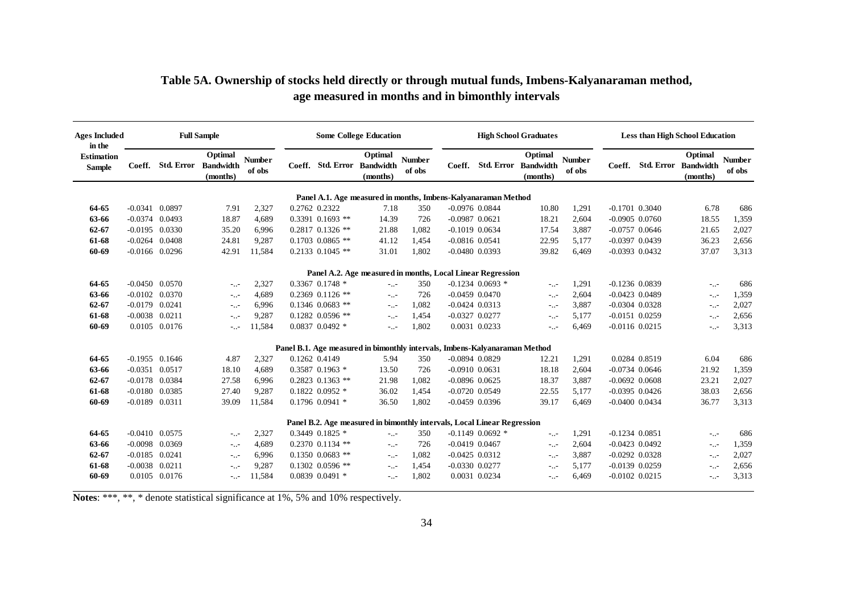| <b>Ages Included</b><br>in the     |                    |                   | <b>Full Sample</b>                      |                         |               |                      | <b>Some College Education</b>                                              |                         |                    |                    | <b>High School Graduates</b>                       |                         | <b>Less than High School Education</b> |               |                                                    |                         |  |  |
|------------------------------------|--------------------|-------------------|-----------------------------------------|-------------------------|---------------|----------------------|----------------------------------------------------------------------------|-------------------------|--------------------|--------------------|----------------------------------------------------|-------------------------|----------------------------------------|---------------|----------------------------------------------------|-------------------------|--|--|
| <b>Estimation</b><br><b>Sample</b> |                    | Coeff. Std. Error | Optimal<br><b>Bandwidth</b><br>(months) | <b>Number</b><br>of obs |               |                      | Optimal<br>Coeff. Std. Error Bandwidth<br>(months)                         | <b>Number</b><br>of obs |                    |                    | Optimal<br>Coeff. Std. Error Bandwidth<br>(months) | <b>Number</b><br>of obs |                                        |               | Optimal<br>Coeff. Std. Error Bandwidth<br>(months) | <b>Number</b><br>of obs |  |  |
|                                    |                    |                   |                                         |                         |               |                      | Panel A.1. Age measured in months, Imbens-Kalvanaraman Method              |                         |                    |                    |                                                    |                         |                                        |               |                                                    |                         |  |  |
| 64-65                              | $-0.0341$ 0.0897   |                   | 7.91                                    | 2,327                   | 0.2762 0.2322 |                      | 7.18                                                                       | 350                     | $-0.0976$ $0.0844$ |                    | 10.80                                              | 1,291                   | $-0.1701$ $0.3040$                     |               | 6.78                                               | 686                     |  |  |
| 63-66                              | $-0.0374$ 0.0493   |                   | 18.87                                   | 4,689                   |               | $0.3391$ $0.1693$ ** | 14.39                                                                      | 726                     | $-0.0987$ $0.0621$ |                    | 18.21                                              | 2,604                   | $-0.0905$ $0.0760$                     |               | 18.55                                              | 1,359                   |  |  |
| $62 - 67$                          | $-0.0195$ 0.0330   |                   | 35.20                                   | 6.996                   |               | $0.2817$ 0.1326 **   | 21.88                                                                      | 1.082                   | $-0.1019$ $0.0634$ |                    | 17.54                                              | 3,887                   | $-0.0757$ 0.0646                       |               | 21.65                                              | 2,027                   |  |  |
| 61-68                              | $-0.0264$ 0.0408   |                   | 24.81                                   | 9,287                   |               | $0.1703$ $0.0865$ ** | 41.12                                                                      | 1.454                   | $-0.0816$ $0.0541$ |                    | 22.95                                              | 5.177                   | $-0.0397$ $0.0439$                     |               | 36.23                                              | 2,656                   |  |  |
| 60-69                              | $-0.0166$ 0.0296   |                   | 42.91                                   | 11,584                  |               | $0.2133$ $0.1045$ ** | 31.01                                                                      | 1,802                   | $-0.0480$ $0.0393$ |                    | 39.82                                              | 6,469                   | $-0.0393$ $0.0432$                     |               | 37.07                                              | 3,313                   |  |  |
|                                    |                    |                   |                                         |                         |               |                      | Panel A.2. Age measured in months, Local Linear Regression                 |                         |                    |                    |                                                    |                         |                                        |               |                                                    |                         |  |  |
| 64-65                              | $-0.0450$ $0.0570$ |                   | $-1.7 -$                                | 2,327                   |               | 0.3367 0.1748 *      | $-1.1 -$                                                                   | 350                     |                    | $-0.1234$ 0.0693 * | $-1.7 -$                                           | 1,291                   | $-0.1236$ 0.0839                       |               | $-1.7$                                             | 686                     |  |  |
| 63-66                              | $-0.0102$ 0.0370   |                   | $-1.7$                                  | 4,689                   |               | $0.2369$ $0.1126$ ** | $-1.1 -$                                                                   | 726                     | $-0.0459$ $0.0470$ |                    | $\sim 10^{-1}$                                     | 2,604                   | $-0.0423$ 0.0489                       |               | $-1.7$                                             | 1,359                   |  |  |
| $62 - 67$                          | $-0.0179$ $0.0241$ |                   | $-1.7 -$                                | 6,996                   |               | $0.1346$ $0.0683$ ** | $-1.7 -$                                                                   | 1,082                   | $-0.0424$ $0.0313$ |                    | $-1.7 -$                                           | 3,887                   | $-0.0304$ $0.0328$                     |               | --                                                 | 2,027                   |  |  |
| 61-68                              | $-0.0038$ $0.0211$ |                   | $-1.7 -$                                | 9,287                   |               | $0.1282$ 0.0596 **   | $-1.7 -$                                                                   | 1,454                   | $-0.0327$ $0.0277$ |                    | --                                                 | 5,177                   | $-0.0151$ $0.0259$                     |               | $-1.7$                                             | 2,656                   |  |  |
| 60-69                              |                    | 0.0105 0.0176     | $-1.7 -$                                | 11,584                  |               | $0.0837$ $0.0492$ *  | $-1.7 -$                                                                   | 1,802                   |                    | 0.0031 0.0233      | $-1.7$                                             | 6,469                   | $-0.0116$ $0.0215$                     |               | $-1.7 -$                                           | 3,313                   |  |  |
|                                    |                    |                   |                                         |                         |               |                      | Panel B.1. Age measured in bimonthly intervals, Imbens-Kalyanaraman Method |                         |                    |                    |                                                    |                         |                                        |               |                                                    |                         |  |  |
| 64-65                              | $-0.1955$ 0.1646   |                   | 4.87                                    | 2,327                   | 0.1262 0.4149 |                      | 5.94                                                                       | 350                     | $-0.0894$ $0.0829$ |                    | 12.21                                              | 1,291                   |                                        | 0.0284 0.8519 | 6.04                                               | 686                     |  |  |
| 63-66                              | $-0.0351$ $0.0517$ |                   | 18.10                                   | 4,689                   |               | 0.3587 0.1963 *      | 13.50                                                                      | 726                     | $-0.0910$ $0.0631$ |                    | 18.18                                              | 2,604                   | $-0.0734$ 0.0646                       |               | 21.92                                              | 1,359                   |  |  |
| $62 - 67$                          | $-0.0178$ 0.0384   |                   | 27.58                                   | 6,996                   |               | $0.2823$ 0.1363 **   | 21.98                                                                      | 1,082                   | $-0.0896$ $0.0625$ |                    | 18.37                                              | 3,887                   | $-0.0692$ $0.0608$                     |               | 23.21                                              | 2,027                   |  |  |
| 61-68                              | $-0.0180$ 0.0385   |                   | 27.40                                   | 9,287                   |               | $0.1822$ $0.0952$ *  | 36.02                                                                      | 1,454                   | $-0.0720$ $0.0549$ |                    | 22.55                                              | 5,177                   | $-0.0395$ $0.0426$                     |               | 38.03                                              | 2,656                   |  |  |
| 60-69                              | $-0.0189$ $0.0311$ |                   | 39.09                                   | 11,584                  |               | $0.1796$ 0.0941 $*$  | 36.50                                                                      | 1,802                   | $-0.0459$ 0.0396   |                    | 39.17                                              | 6,469                   | $-0.0400$ $0.0434$                     |               | 36.77                                              | 3,313                   |  |  |
|                                    |                    |                   |                                         |                         |               |                      | Panel B.2. Age measured in bimonthly intervals, Local Linear Regression    |                         |                    |                    |                                                    |                         |                                        |               |                                                    |                         |  |  |
| 64-65                              | $-0.0410$ $0.0575$ |                   | $\sim 1.1$                              | 2,327                   |               | $0.3449$ $0.1825$ *  | $\sim 10^{-1}$                                                             | 350                     |                    | $-0.1149$ 0.0692 * | $\sim 10^{-1}$                                     | 1,291                   | $-0.1234$ $0.0851$                     |               | --                                                 | 686                     |  |  |
| 63-66                              | $-0.0098$ 0.0369   |                   | $-1.7 -$                                | 4,689                   |               | $0.2370$ $0.1134$ ** | $-1.7 -$                                                                   | 726                     | $-0.0419$ $0.0467$ |                    | $-1.7 -$                                           | 2,604                   | $-0.0423$ 0.0492                       |               | --                                                 | 1,359                   |  |  |
| $62 - 67$                          | $-0.0185$ 0.0241   |                   | $-1.7 -$                                | 6,996                   |               | $0.1350$ $0.0683$ ** | $-1.7 -$                                                                   | 1,082                   | $-0.0425$ 0.0312   |                    | $-1.7 -$                                           | 3,887                   | $-0.0292$ $0.0328$                     |               | $\sim 10^{-1}$                                     | 2,027                   |  |  |
| 61-68                              | $-0.0038$ $0.0211$ |                   | $-1.7 -$                                | 9,287                   |               | $0.1302$ $0.0596$ ** | $-1.7 -$                                                                   | 1,454                   | $-0.0330$ $0.0277$ |                    | $-1.7$                                             | 5,177                   | $-0.0139$ $0.0259$                     |               | $-1.7$                                             | 2,656                   |  |  |
| 60-69                              |                    | 0.0105 0.0176     | $-1.7 -$                                | 11,584                  |               | $0.0839$ $0.0491$ *  | $-1.7 -$                                                                   | 1,802                   |                    | 0.0031 0.0234      | $-1.7 -$                                           | 6,469                   | $-0.0102$ $0.0215$                     |               | --                                                 | 3,313                   |  |  |

### **Table 5A. Ownership of stocks held directly or through mutual funds, Imbens-Kalyanaraman method, age measured in months and in bimonthly intervals**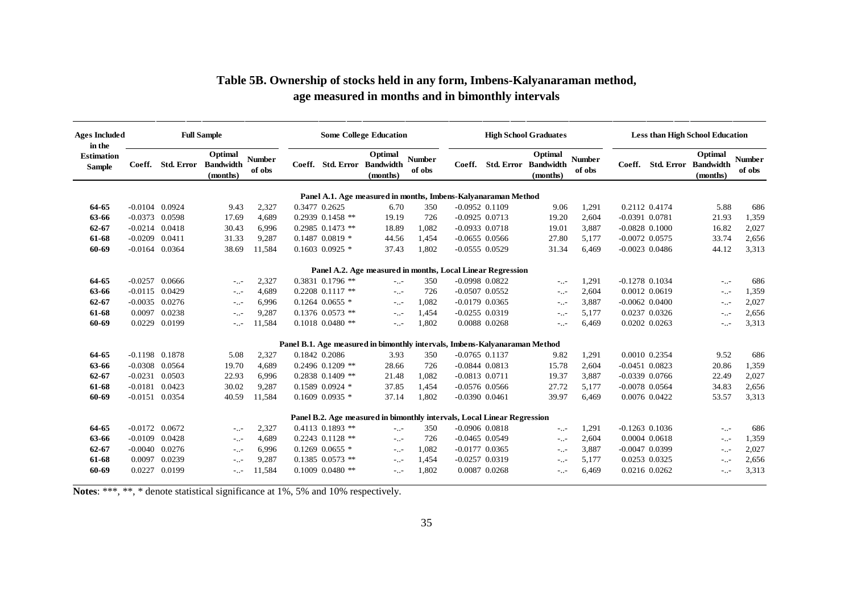| <b>Ages Included</b>               | <b>Full Sample</b><br>in the |               |                                         | <b>Some College Education</b> |               |                      |                                                                            |                         | <b>High School Graduates</b> |                                             |                         |                    | <b>Less than High School Education</b> |                                         |                         |  |  |
|------------------------------------|------------------------------|---------------|-----------------------------------------|-------------------------------|---------------|----------------------|----------------------------------------------------------------------------|-------------------------|------------------------------|---------------------------------------------|-------------------------|--------------------|----------------------------------------|-----------------------------------------|-------------------------|--|--|
| <b>Estimation</b><br><b>Sample</b> | Coeff.                       | Std. Error    | Optimal<br><b>Bandwidth</b><br>(months) | <b>Number</b><br>of obs       |               | Coeff. Std. Error    | Optimal<br><b>Bandwidth</b><br>(months)                                    | <b>Number</b><br>of obs | Coeff.                       | Optimal<br>Std. Error Bandwidth<br>(months) | <b>Number</b><br>of obs | Coeff.             | <b>Std. Error</b>                      | Optimal<br><b>Bandwidth</b><br>(months) | <b>Number</b><br>of obs |  |  |
|                                    |                              |               |                                         |                               |               |                      | Panel A.1. Age measured in months, Imbens-Kalyanaraman Method              |                         |                              |                                             |                         |                    |                                        |                                         |                         |  |  |
| 64-65                              | $-0.0104$ 0.0924             |               | 9.43                                    | 2,327                         | 0.3477 0.2625 |                      | 6.70                                                                       | 350                     | $-0.0952$ $0.1109$           | 9.06                                        | 1,291                   |                    | 0.2112 0.4174                          | 5.88                                    | 686                     |  |  |
| 63-66                              | $-0.0373$ 0.0598             |               | 17.69                                   | 4,689                         |               | $0.2939$ $0.1458$ ** | 19.19                                                                      | 726                     | $-0.0925$ 0.0713             | 19.20                                       | 2,604                   | $-0.0391$ $0.0781$ |                                        | 21.93                                   | 1,359                   |  |  |
| $62 - 67$                          | $-0.0214$ $0.0418$           |               | 30.43                                   | 6,996                         |               | $0.2985$ $0.1473$ ** | 18.89                                                                      | 1,082                   | $-0.0933$ $0.0718$           | 19.01                                       | 3,887                   | $-0.0828$ $0.1000$ |                                        | 16.82                                   | 2,027                   |  |  |
| 61-68                              | $-0.0209$ $0.0411$           |               | 31.33                                   | 9,287                         |               | $0.1487$ $0.0819$ *  | 44.56                                                                      | 1,454                   | $-0.0655$ 0.0566             | 27.80                                       | 5,177                   | $-0.0072$ 0.0575   |                                        | 33.74                                   | 2,656                   |  |  |
| 60-69                              | $-0.0164$ $0.0364$           |               | 38.69                                   | 11,584                        |               | $0.1603$ $0.0925$ *  | 37.43                                                                      | 1,802                   | $-0.0555$ $0.0529$           | 31.34                                       | 6,469                   | $-0.0023$ 0.0486   |                                        | 44.12                                   | 3,313                   |  |  |
|                                    |                              |               |                                         |                               |               |                      | Panel A.2. Age measured in months, Local Linear Regression                 |                         |                              |                                             |                         |                    |                                        |                                         |                         |  |  |
| 64-65                              | $-0.0257$ 0.0666             |               | $-1.7 -$                                | 2,327                         |               | $0.3831$ $0.1796$ ** | $\sim 1.1$                                                                 | 350                     | $-0.0998$ $0.0822$           | $-1.7 -$                                    | 1,291                   | $-0.1278$ 0.1034   |                                        | $-1.7 -$                                | 686                     |  |  |
| 63-66                              | $-0.0115$ 0.0429             |               | $-1.1 -$                                | 4,689                         |               | $0.2208$ $0.1117$ ** | $\sim 100$                                                                 | 726                     | $-0.0507$ $0.0552$           | $\sim 10^{-1}$                              | 2,604                   |                    | 0.0012 0.0619                          | $\sim 10^{-1}$                          | 1,359                   |  |  |
| $62 - 67$                          | $-0.0035$ 0.0276             |               | $-1.1 -$                                | 6,996                         |               | $0.1264$ $0.0655$ *  | $\sim 1.1$                                                                 | 1,082                   | $-0.0179$ 0.0365             | $-1.1 -$                                    | 3,887                   | $-0.0062$ $0.0400$ |                                        | $-1.1 -$                                | 2,027                   |  |  |
| 61-68                              |                              | 0.0097 0.0238 | $-1.7 -$                                | 9,287                         |               | $0.1376$ $0.0573$ ** | $-1.7 -$                                                                   | 1,454                   | $-0.0255$ $0.0319$           | $-1.7 -$                                    | 5,177                   |                    | 0.0237 0.0326                          | $-1.1 -$                                | 2,656                   |  |  |
| 60-69                              |                              | 0.0229 0.0199 | $-1.7 -$                                | 11,584                        |               | $0.1018$ $0.0480$ ** | $-1.7 -$                                                                   | 1,802                   | 0.0088 0.0268                | $-1.7 -$                                    | 6,469                   |                    | 0.0202 0.0263                          | $-1.7 -$                                | 3,313                   |  |  |
|                                    |                              |               |                                         |                               |               |                      | Panel B.1. Age measured in bimonthly intervals, Imbens-Kalyanaraman Method |                         |                              |                                             |                         |                    |                                        |                                         |                         |  |  |
| 64-65                              | $-0.1198$ 0.1878             |               | 5.08                                    | 2,327                         |               | 0.1842 0.2086        | 3.93                                                                       | 350                     | $-0.0765$ 0.1137             | 9.82                                        | 1,291                   |                    | 0.0010 0.2354                          | 9.52                                    | 686                     |  |  |
| 63-66                              | $-0.0308$ $0.0564$           |               | 19.70                                   | 4,689                         |               | $0.2496$ $0.1209$ ** | 28.66                                                                      | 726                     | $-0.0844$ $0.0813$           | 15.78                                       | 2,604                   | $-0.0451$ $0.0823$ |                                        | 20.86                                   | 1,359                   |  |  |
| $62 - 67$                          | $-0.0231$                    | 0.0503        | 22.93                                   | 6,996                         |               | $0.2838$ $0.1409$ ** | 21.48                                                                      | 1,082                   | $-0.0813$ $0.0711$           | 19.37                                       | 3,887                   | $-0.0339$ $0.0766$ |                                        | 22.49                                   | 2,027                   |  |  |
| 61-68                              | $-0.0181$                    | 0.0423        | 30.02                                   | 9,287                         |               | $0.1589$ $0.0924$ *  | 37.85                                                                      | 1,454                   | $-0.0576$ $0.0566$           | 27.72                                       | 5,177                   | $-0.0078$ 0.0564   |                                        | 34.83                                   | 2,656                   |  |  |
| 60-69                              | $-0.0151$                    | 0.0354        | 40.59                                   | 11,584                        |               | $0.1609$ $0.0935$ *  | 37.14                                                                      | 1,802                   | $-0.0390$ $0.0461$           | 39.97                                       | 6,469                   |                    | 0.0076 0.0422                          | 53.57                                   | 3,313                   |  |  |
|                                    |                              |               |                                         |                               |               |                      | Panel B.2. Age measured in bimonthly intervals, Local Linear Regression    |                         |                              |                                             |                         |                    |                                        |                                         |                         |  |  |
| 64-65                              | $-0.0172$ 0.0672             |               | $-1.1 -$                                | 2,327                         |               | $0.4113$ $0.1893$ ** | $-1.7$                                                                     | 350                     | $-0.0906$ $0.0818$           | $\sim 10^{-1}$                              | 1,291                   | $-0.1263$ 0.1036   |                                        | $-1.1 -$                                | 686                     |  |  |
| 63-66                              | $-0.0109$                    | 0.0428        | $-1.7 -$                                | 4,689                         |               | $0.2243$ $0.1128$ ** | $-1.7 -$                                                                   | 726                     | $-0.0465$ 0.0549             | $-1.7 -$                                    | 2,604                   |                    | 0.0004 0.0618                          | $-1.1 -$                                | 1,359                   |  |  |
| $62 - 67$                          | $-0.0040$ $0.0276$           |               | $-1.7 -$                                | 6,996                         |               | $0.1269$ $0.0655$ *  | $\sim 1.1$                                                                 | 1,082                   | $-0.0177$ 0.0365             | $-1.7 -$                                    | 3,887                   | $-0.0047$ 0.0399   |                                        | $\sim 10^{-1}$                          | 2,027                   |  |  |
| 61-68                              | 0.0097                       | 0.0239        | $-1.7 -$                                | 9,287                         |               | $0.1385$ $0.0573$ ** | $-1.7 -$                                                                   | 1,454                   | $-0.0257$ $0.0319$           | $-1.7 -$                                    | 5,177                   |                    | 0.0253 0.0325                          | $-1.1 -$                                | 2,656                   |  |  |
| 60-69                              |                              | 0.0227 0.0199 | $-1.7 -$                                | 11,584                        |               | $0.1009$ $0.0480$ ** | $-1.7 -$                                                                   | 1,802                   | 0.0087 0.0268                | $-1.7 -$                                    | 6,469                   |                    | 0.0216 0.0262                          | $-0.1 -$                                | 3,313                   |  |  |

### **Table 5B. Ownership of stocks held in any form, Imbens-Kalyanaraman method, age measured in months and in bimonthly intervals**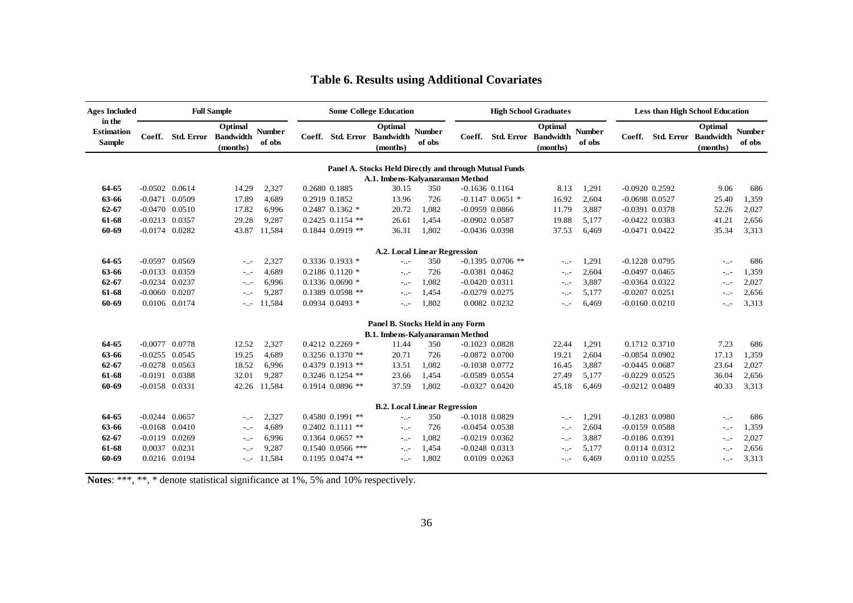| <b>Ages Included</b>                         |                    |               | <b>Full Sample</b>                                 |                         |                             | <b>Some College Education</b>                          |                         |                    |                      | <b>High School Graduates</b>                       |                         |                    |                             | <b>Less than High School Education</b> |                         |
|----------------------------------------------|--------------------|---------------|----------------------------------------------------|-------------------------|-----------------------------|--------------------------------------------------------|-------------------------|--------------------|----------------------|----------------------------------------------------|-------------------------|--------------------|-----------------------------|----------------------------------------|-------------------------|
| in the<br><b>Estimation</b><br><b>Sample</b> | Coeff.             |               | Optimal<br><b>Std. Error</b> Bandwidth<br>(months) | <b>Number</b><br>of obs | Coeff. Std. Error Bandwidth | Optimal<br>(months)                                    | <b>Number</b><br>of obs | Coeff.             |                      | Optimal<br><b>Std. Error Bandwidth</b><br>(months) | <b>Number</b><br>of obs | Coeff.             | <b>Std. Error Bandwidth</b> | Optimal<br>(months)                    | <b>Number</b><br>of obs |
|                                              |                    |               |                                                    |                         |                             | Panel A. Stocks Held Directly and through Mutual Funds |                         |                    |                      |                                                    |                         |                    |                             |                                        |                         |
|                                              |                    |               |                                                    |                         |                             | A.1. Imbens-Kalvanaraman Method                        |                         |                    |                      |                                                    |                         |                    |                             |                                        |                         |
| 64-65                                        | $-0.0502$ $0.0614$ |               | 14.29                                              | 2,327                   | 0.2680 0.1885               | 30.15                                                  | 350                     | $-0.1636$ $0.1164$ |                      | 8.13                                               | 1,291                   | $-0.0920$ $0.2592$ |                             | 9.06                                   | 686                     |
| 63-66                                        | $-0.0471$ 0.0509   |               | 17.89                                              | 4,689                   | 0.2919 0.1852               | 13.96                                                  | 726                     |                    | $-0.1147$ 0.0651 $*$ | 16.92                                              | 2,604                   | $-0.0698$ $0.0527$ |                             | 25.40                                  | 1,359                   |
| $62 - 67$                                    | $-0.0470$ $0.0510$ |               | 17.82                                              | 6,996                   | $0.2487$ $0.1362$ *         | 20.72                                                  | 1,082                   | $-0.0959$ 0.0866   |                      | 11.79                                              | 3,887                   | $-0.0391$ $0.0378$ |                             | 52.26                                  | 2,027                   |
| 61-68                                        | $-0.0213$ 0.0357   |               | 29.28                                              | 9,287                   | $0.2425$ 0.1154 **          | 26.61                                                  | 1,454                   | $-0.0902$ $0.0587$ |                      | 19.88                                              | 5,177                   | $-0.0422$ $0.0383$ |                             | 41.21                                  | 2,656                   |
| 60-69                                        | $-0.0174$ 0.0282   |               | 43.87                                              | 11,584                  | $0.1844$ $0.0919$ **        | 36.31                                                  | 1,802                   | $-0.0436$ 0.0398   |                      | 37.53                                              | 6,469                   | $-0.0471$ $0.0422$ |                             | 35.34                                  | 3,313                   |
|                                              |                    |               |                                                    |                         |                             | <b>A.2. Local Linear Regression</b>                    |                         |                    |                      |                                                    |                         |                    |                             |                                        |                         |
| 64-65                                        | $-0.0597$ 0.0569   |               | $-1.7 -$                                           | 2,327                   | 0.3336 0.1933 *             | - 11                                                   | 350                     |                    | $-0.1395$ 0.0706 **  | $-1.7 -$                                           | 1,291                   | $-0.1228$ 0.0795   |                             | $-1.7 -$                               | 686                     |
| 63-66                                        | $-0.0133$ 0.0359   |               | $-1.7 -$                                           | 4,689                   | $0.2186$ $0.1120$ *         | --                                                     | 726                     | $-0.0381$ $0.0462$ |                      | $-1.7 -$                                           | 2,604                   | $-0.0497$ $0.0465$ |                             | $-1.1$                                 | 1,359                   |
| 62-67                                        | $-0.0234$ 0.0237   |               | $-1.7 -$                                           | 6,996                   | $0.1336$ $0.0690$ *         | $-1.7 -$                                               | 1.082                   | $-0.0420$ $0.0311$ |                      | $-1.7 -$                                           | 3,887                   | $-0.0364$ $0.0322$ |                             | $-1.7 -$                               | 2,027                   |
| 61-68                                        | $-0.0060$ $0.0207$ |               | $-1.7 -$                                           | 9,287                   | $0.1389$ $0.0598$ **        | $-1.7 -$                                               | 1,454                   | $-0.0279$ $0.0275$ |                      | $-1.7 -$                                           | 5,177                   | $-0.0207$ $0.0251$ |                             | $-1.7 -$                               | 2,656                   |
| 60-69                                        |                    | 0.0106 0.0174 | $-1.7 -$                                           | 11,584                  | $0.0934$ $0.0493$ *         | $\sim$                                                 | 1,802                   | 0.0082 0.0232      |                      | $-1.7 -$                                           | 6,469                   | $-0.0160$ $0.0210$ |                             | $\sim 10^{-1}$                         | 3,313                   |
|                                              |                    |               |                                                    |                         |                             | Panel B. Stocks Held in any Form                       |                         |                    |                      |                                                    |                         |                    |                             |                                        |                         |
|                                              |                    |               |                                                    |                         |                             | <b>B.1. Imbens-Kalvanaraman Method</b>                 |                         |                    |                      |                                                    |                         |                    |                             |                                        |                         |
| 64-65                                        | $-0.0077$ 0.0778   |               | 12.52                                              | 2,327                   | $0.4212$ $0.2269$ *         | 11.44                                                  | 350                     | $-0.1023$ 0.0828   |                      | 22.44                                              | 1,291                   |                    | 0.1712 0.3710               | 7.23                                   | 686                     |
| 63-66                                        | $-0.0255$ 0.0545   |               | 19.25                                              | 4,689                   | $0.3256$ $0.1370$ **        | 20.71                                                  | 726                     | $-0.0872$ 0.0700   |                      | 19.21                                              | 2,604                   | $-0.0854$ $0.0902$ |                             | 17.13                                  | 1,359                   |
| $62 - 67$                                    | $-0.0278$ 0.0563   |               | 18.52                                              | 6,996                   | $0.4379$ $0.1913$ **        | 13.51                                                  | 1,082                   | $-0.1038$ 0.0772   |                      | 16.45                                              | 3,887                   | $-0.0445$ 0.0687   |                             | 23.64                                  | 2,027                   |
| 61-68                                        | $-0.0191$ 0.0388   |               | 32.01                                              | 9,287                   | $0.3246$ $0.1254$ **        | 23.66                                                  | 1.454                   | $-0.0589$ 0.0554   |                      | 27.49                                              | 5,177                   | $-0.0229$ $0.0525$ |                             | 36.04                                  | 2,656                   |
| 60-69                                        | $-0.0158$ 0.0331   |               | 42.26                                              | 11,584                  | $0.1914$ $0.0896$ **        | 37.59                                                  | 1,802                   | $-0.0327$ $0.0420$ |                      | 45.18                                              | 6,469                   | $-0.0212$ $0.0489$ |                             | 40.33                                  | 3,313                   |
|                                              |                    |               |                                                    |                         |                             | <b>B.2. Local Linear Regression</b>                    |                         |                    |                      |                                                    |                         |                    |                             |                                        |                         |
| 64-65                                        | $-0.0244$ $0.0657$ |               | $-1.7 -$                                           | 2,327                   | 0.4580 0.1991 **            | $-1.1 -$                                               | 350                     | $-0.1018$ $0.0829$ |                      | --                                                 | 1,291                   | $-0.1283$ 0.0980   |                             | $-1.7 -$                               | 686                     |
| 63-66                                        | $-0.0168$ $0.0410$ |               | $-1.7 -$                                           | 4,689                   | $0.2402$ $0.1111$ **        | $-1.1 -$                                               | 726                     | $-0.0454$ $0.0538$ |                      | $-1.7 -$                                           | 2,604                   | $-0.0159$ $0.0588$ |                             | $-1.7 -$                               | 1,359                   |
| $62 - 67$                                    | $-0.0119$ $0.0269$ |               | $-0.07$                                            | 6,996                   | $0.1364$ $0.0657$ **        | $-1.7 -$                                               | 1,082                   | $-0.0219$ $0.0362$ |                      | $-1.7 -$                                           | 3,887                   | $-0.0186$ $0.0391$ |                             | $-1.7 -$                               | 2,027                   |
| 61-68                                        | 0.0037 0.0231      |               | $-1.7 -$                                           | 9,287                   | $0.1540$ $0.0566$ ***       | $-1.7 -$                                               | 1,454                   | $-0.0248$ 0.0313   |                      | --                                                 | 5,177                   |                    | 0.0114 0.0312               | $-1.7 -$                               | 2,656                   |
| 60-69                                        | 0.0216 0.0194      |               | $-1.7 -$                                           | 11,584                  | $0.1195$ 0.0474 **          | $-1.7 -$                                               | 1,802                   | 0.0109 0.0263      |                      | $-1.7 -$                                           | 6,469                   |                    | 0.0110 0.0255               | $-1.7 -$                               | 3,313                   |

### **Table 6. Results using Additional Covariates**